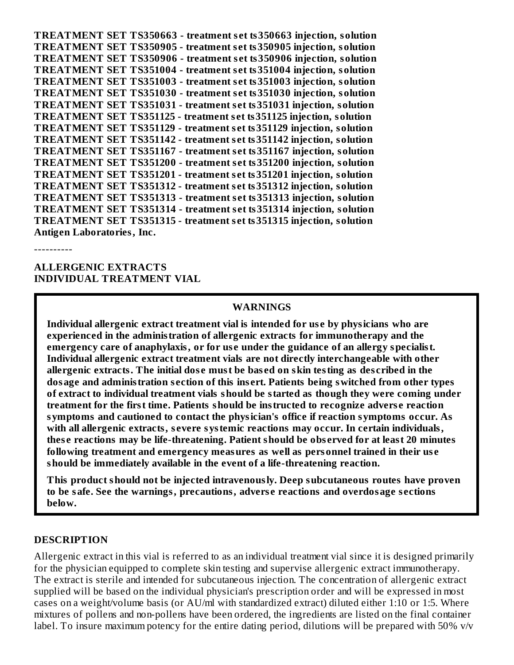**TREATMENT SET TS350663 - treatment s et ts350663 injection, solution TREATMENT SET TS350905 - treatment s et ts350905 injection, solution TREATMENT SET TS350906 - treatment s et ts350906 injection, solution TREATMENT SET TS351004 - treatment s et ts351004 injection, solution TREATMENT SET TS351003 - treatment s et ts351003 injection, solution TREATMENT SET TS351030 - treatment s et ts351030 injection, solution TREATMENT SET TS351031 - treatment s et ts351031 injection, solution TREATMENT SET TS351125 - treatment s et ts351125 injection, solution TREATMENT SET TS351129 - treatment s et ts351129 injection, solution TREATMENT SET TS351142 - treatment s et ts351142 injection, solution TREATMENT SET TS351167 - treatment s et ts351167 injection, solution TREATMENT SET TS351200 - treatment s et ts351200 injection, solution TREATMENT SET TS351201 - treatment s et ts351201 injection, solution TREATMENT SET TS351312 - treatment s et ts351312 injection, solution TREATMENT SET TS351313 - treatment s et ts351313 injection, solution TREATMENT SET TS351314 - treatment s et ts351314 injection, solution TREATMENT SET TS351315 - treatment s et ts351315 injection, solution Antigen Laboratories, Inc.**

----------

**ALLERGENIC EXTRACTS INDIVIDUAL TREATMENT VIAL**

#### **WARNINGS**

**Individual allergenic extract treatment vial is intended for us e by physicians who are experienced in the administration of allergenic extracts for immunotherapy and the emergency care of anaphylaxis, or for us e under the guidance of an allergy specialist. Individual allergenic extract treatment vials are not directly interchangeable with other allergenic extracts. The initial dos e must be bas ed on skin testing as des cribed in the dosage and administration s ection of this ins ert. Patients being switched from other types of extract to individual treatment vials should be started as though they were coming under treatment for the first time. Patients should be instructed to recognize advers e reaction symptoms and cautioned to contact the physician's office if reaction symptoms occur. As with all allergenic extracts, s evere systemic reactions may occur. In certain individuals, thes e reactions may be life-threatening. Patient should be obs erved for at least 20 minutes following treatment and emergency measures as well as personnel trained in their us e should be immediately available in the event of a life-threatening reaction.**

**This product should not be injected intravenously. Deep subcutaneous routes have proven to be safe. See the warnings, precautions, advers e reactions and overdosage s ections below.**

#### **DESCRIPTION**

Allergenic extract in this vial is referred to as an individual treatment vial since it is designed primarily for the physician equipped to complete skin testing and supervise allergenic extract immunotherapy. The extract is sterile and intended for subcutaneous injection. The concentration of allergenic extract supplied will be based on the individual physician's prescription order and will be expressed in most cases on a weight/volume basis (or AU/ml with standardized extract) diluted either 1:10 or 1:5. Where mixtures of pollens and non-pollens have been ordered, the ingredients are listed on the final container label. To insure maximum potency for the entire dating period, dilutions will be prepared with 50% v/v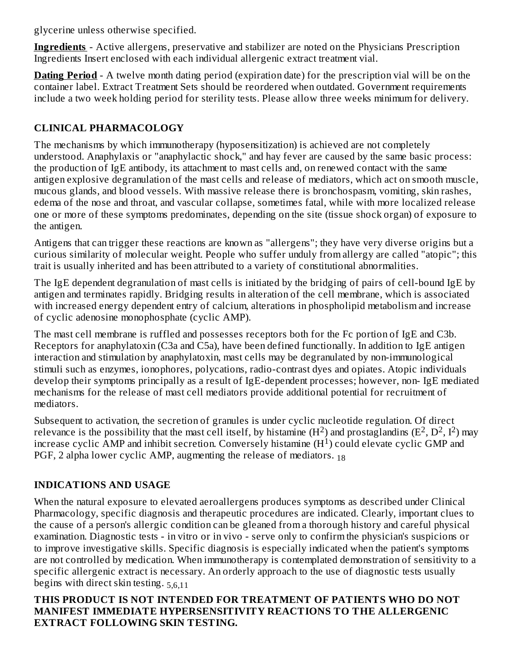glycerine unless otherwise specified.

**Ingredients** - Active allergens, preservative and stabilizer are noted on the Physicians Prescription Ingredients Insert enclosed with each individual allergenic extract treatment vial.

**Dating Period** - A twelve month dating period (expiration date) for the prescription vial will be on the container label. Extract Treatment Sets should be reordered when outdated. Government requirements include a two week holding period for sterility tests. Please allow three weeks minimum for delivery.

## **CLINICAL PHARMACOLOGY**

The mechanisms by which immunotherapy (hyposensitization) is achieved are not completely understood. Anaphylaxis or "anaphylactic shock," and hay fever are caused by the same basic process: the production of IgE antibody, its attachment to mast cells and, on renewed contact with the same antigen explosive degranulation of the mast cells and release of mediators, which act on smooth muscle, mucous glands, and blood vessels. With massive release there is bronchospasm, vomiting, skin rashes, edema of the nose and throat, and vascular collapse, sometimes fatal, while with more localized release one or more of these symptoms predominates, depending on the site (tissue shock organ) of exposure to the antigen.

Antigens that can trigger these reactions are known as "allergens"; they have very diverse origins but a curious similarity of molecular weight. People who suffer unduly from allergy are called "atopic"; this trait is usually inherited and has been attributed to a variety of constitutional abnormalities.

The IgE dependent degranulation of mast cells is initiated by the bridging of pairs of cell-bound IgE by antigen and terminates rapidly. Bridging results in alteration of the cell membrane, which is associated with increased energy dependent entry of calcium, alterations in phospholipid metabolism and increase of cyclic adenosine monophosphate (cyclic AMP).

The mast cell membrane is ruffled and possesses receptors both for the Fc portion of IgE and C3b. Receptors for anaphylatoxin (C3a and C5a), have been defined functionally. In addition to IgE antigen interaction and stimulation by anaphylatoxin, mast cells may be degranulated by non-immunological stimuli such as enzymes, ionophores, polycations, radio-contrast dyes and opiates. Atopic individuals develop their symptoms principally as a result of IgE-dependent processes; however, non- IgE mediated mechanisms for the release of mast cell mediators provide additional potential for recruitment of mediators.

Subsequent to activation, the secretion of granules is under cyclic nucleotide regulation. Of direct relevance is the possibility that the mast cell itself, by histamine  $(H^2)$  and prostaglandins  $(E^2, D^2, I^2)$  may increase cyclic AMP and inhibit secretion. Conversely histamine  $(H<sup>1</sup>)$  could elevate cyclic GMP and PGF, 2 alpha lower cyclic AMP, augmenting the release of mediators.  $_{18}$ 

## **INDICATIONS AND USAGE**

When the natural exposure to elevated aeroallergens produces symptoms as described under Clinical Pharmacology, specific diagnosis and therapeutic procedures are indicated. Clearly, important clues to the cause of a person's allergic condition can be gleaned from a thorough history and careful physical examination. Diagnostic tests - in vitro or in vivo - serve only to confirm the physician's suspicions or to improve investigative skills. Specific diagnosis is especially indicated when the patient's symptoms are not controlled by medication. When immunotherapy is contemplated demonstration of sensitivity to a specific allergenic extract is necessary. An orderly approach to the use of diagnostic tests usually begins with direct skin testing. 5,6,11

### **THIS PRODUCT IS NOT INTENDED FOR TREATMENT OF PATIENTS WHO DO NOT MANIFEST IMMEDIATE HYPERSENSITIVITY REACTIONS TO THE ALLERGENIC EXTRACT FOLLOWING SKIN TESTING.**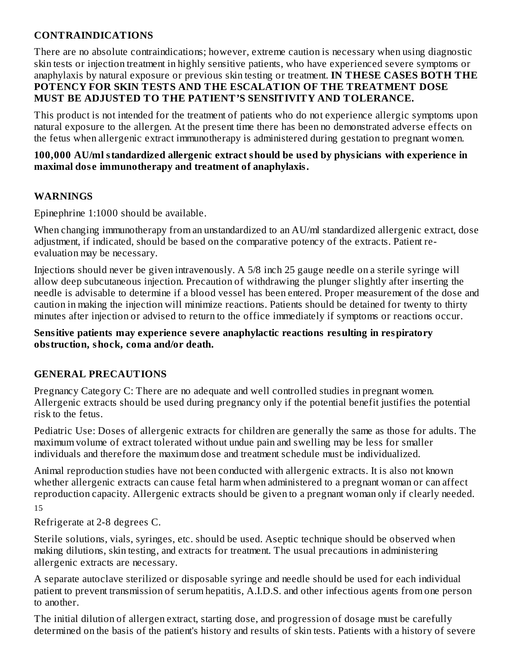## **CONTRAINDICATIONS**

There are no absolute contraindications; however, extreme caution is necessary when using diagnostic skin tests or injection treatment in highly sensitive patients, who have experienced severe symptoms or anaphylaxis by natural exposure or previous skin testing or treatment. **IN THESE CASES BOTH THE POTENCY FOR SKIN TESTS AND THE ESCALATION OF THE TREATMENT DOSE MUST BE ADJUSTED TO THE PATIENT'S SENSlTIVITY AND TOLERANCE.**

This product is not intended for the treatment of patients who do not experience allergic symptoms upon natural exposure to the allergen. At the present time there has been no demonstrated adverse effects on the fetus when allergenic extract immunotherapy is administered during gestation to pregnant women.

#### **100,000 AU/ml standardized allergenic extract should be us ed by physicians with experience in maximal dos e immunotherapy and treatment of anaphylaxis.**

### **WARNINGS**

Epinephrine 1:1000 should be available.

When changing immunotherapy from an unstandardized to an AU/ml standardized allergenic extract, dose adjustment, if indicated, should be based on the comparative potency of the extracts. Patient reevaluation may be necessary.

Injections should never be given intravenously. A 5/8 inch 25 gauge needle on a sterile syringe will allow deep subcutaneous injection. Precaution of withdrawing the plunger slightly after inserting the needle is advisable to determine if a blood vessel has been entered. Proper measurement of the dose and caution in making the injection will minimize reactions. Patients should be detained for twenty to thirty minutes after injection or advised to return to the office immediately if symptoms or reactions occur.

#### **Sensitive patients may experience s evere anaphylactic reactions resulting in respiratory obstruction, shock, coma and/or death.**

## **GENERAL PRECAUTIONS**

Pregnancy Category C: There are no adequate and well controlled studies in pregnant women. Allergenic extracts should be used during pregnancy only if the potential benefit justifies the potential risk to the fetus.

Pediatric Use: Doses of allergenic extracts for children are generally the same as those for adults. The maximum volume of extract tolerated without undue pain and swelling may be less for smaller individuals and therefore the maximum dose and treatment schedule must be individualized.

Animal reproduction studies have not been conducted with allergenic extracts. It is also not known whether allergenic extracts can cause fetal harm when administered to a pregnant woman or can affect reproduction capacity. Allergenic extracts should be given to a pregnant woman only if clearly needed. 15

Refrigerate at 2-8 degrees C.

Sterile solutions, vials, syringes, etc. should be used. Aseptic technique should be observed when making dilutions, skin testing, and extracts for treatment. The usual precautions in administering allergenic extracts are necessary.

A separate autoclave sterilized or disposable syringe and needle should be used for each individual patient to prevent transmission of serum hepatitis, A.I.D.S. and other infectious agents from one person to another.

The initial dilution of allergen extract, starting dose, and progression of dosage must be carefully determined on the basis of the patient's history and results of skin tests. Patients with a history of severe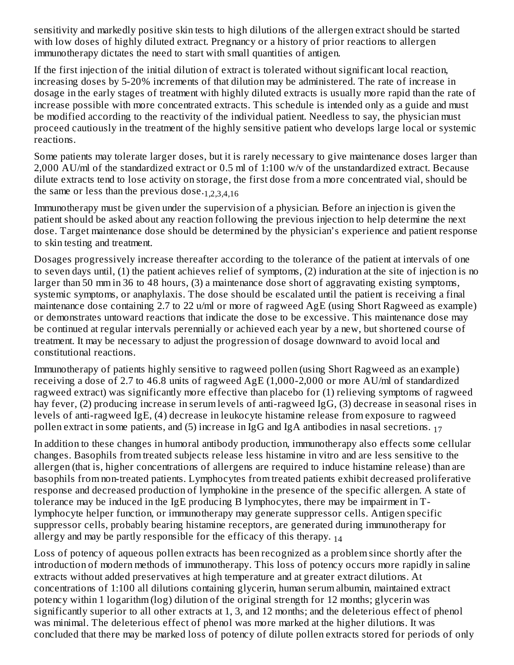sensitivity and markedly positive skin tests to high dilutions of the allergen extract should be started with low doses of highly diluted extract. Pregnancy or a history of prior reactions to allergen immunotherapy dictates the need to start with small quantities of antigen.

If the first injection of the initial dilution of extract is tolerated without significant local reaction, increasing doses by 5-20% increments of that dilution may be administered. The rate of increase in dosage in the early stages of treatment with highly diluted extracts is usually more rapid than the rate of increase possible with more concentrated extracts. This schedule is intended only as a guide and must be modified according to the reactivity of the individual patient. Needless to say, the physician must proceed cautiously in the treatment of the highly sensitive patient who develops large local or systemic reactions.

Some patients may tolerate larger doses, but it is rarely necessary to give maintenance doses larger than 2,000 AU/ml of the standardized extract or 0.5 ml of 1:100 w/v of the unstandardized extract. Because dilute extracts tend to lose activity on storage, the first dose from a more concentrated vial, should be the same or less than the previous dose.<sub>1,2,3,4,16</sub>

Immunotherapy must be given under the supervision of a physician. Before an injection is given the patient should be asked about any reaction following the previous injection to help determine the next dose. Target maintenance dose should be determined by the physician's experience and patient response to skin testing and treatment.

Dosages progressively increase thereafter according to the tolerance of the patient at intervals of one to seven days until, (1) the patient achieves relief of symptoms, (2) induration at the site of injection is no larger than 50 mm in 36 to 48 hours, (3) a maintenance dose short of aggravating existing symptoms, systemic symptoms, or anaphylaxis. The dose should be escalated until the patient is receiving a final maintenance dose containing 2.7 to 22 u/ml or more of ragweed AgE (using Short Ragweed as example) or demonstrates untoward reactions that indicate the dose to be excessive. This maintenance dose may be continued at regular intervals perennially or achieved each year by a new, but shortened course of treatment. It may be necessary to adjust the progression of dosage downward to avoid local and constitutional reactions.

Immunotherapy of patients highly sensitive to ragweed pollen (using Short Ragweed as an example) receiving a dose of 2.7 to 46.8 units of ragweed AgE (1,000-2,000 or more AU/ml of standardized ragweed extract) was significantly more effective than placebo for (1) relieving symptoms of ragweed hay fever, (2) producing increase in serum levels of anti-ragweed IgG, (3) decrease in seasonal rises in levels of anti-ragweed IgE, (4) decrease in leukocyte histamine release from exposure to ragweed pollen extract in some patients, and (5) increase in IgG and IgA antibodies in nasal secretions.  $_{17}$ 

In addition to these changes in humoral antibody production, immunotherapy also effects some cellular changes. Basophils from treated subjects release less histamine in vitro and are less sensitive to the allergen (that is, higher concentrations of allergens are required to induce histamine release) than are basophils from non-treated patients. Lymphocytes from treated patients exhibit decreased proliferative response and decreased production of lymphokine in the presence of the specific allergen. A state of tolerance may be induced in the IgE producing B lymphocytes, there may be impairment in Tlymphocyte helper function, or immunotherapy may generate suppressor cells. Antigen specific suppressor cells, probably bearing histamine receptors, are generated during immunotherapy for allergy and may be partly responsible for the efficacy of this therapy.  $_{14}$ 

Loss of potency of aqueous pollen extracts has been recognized as a problem since shortly after the introduction of modern methods of immunotherapy. This loss of potency occurs more rapidly in saline extracts without added preservatives at high temperature and at greater extract dilutions. At concentrations of 1:100 all dilutions containing glycerin, human serum albumin, maintained extract potency within 1 logarithm (log) dilution of the original strength for 12 months; glycerin was significantly superior to all other extracts at 1, 3, and 12 months; and the deleterious effect of phenol was minimal. The deleterious effect of phenol was more marked at the higher dilutions. It was concluded that there may be marked loss of potency of dilute pollen extracts stored for periods of only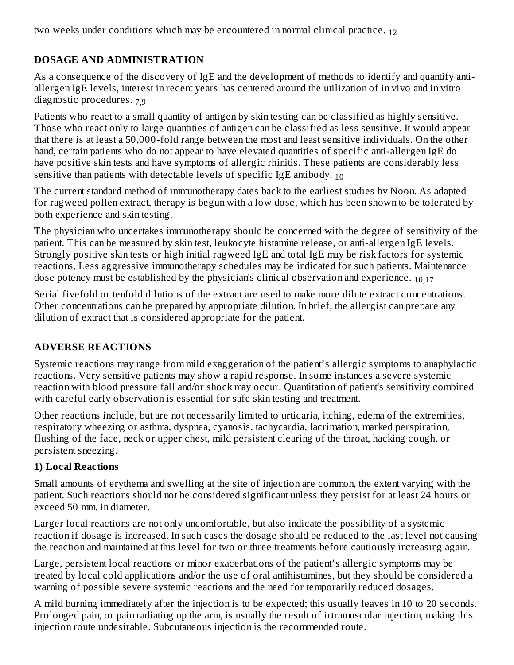two weeks under conditions which may be encountered in normal clinical practice. 12

## **DOSAGE AND ADMINISTRATION**

As a consequence of the discovery of IgE and the development of methods to identify and quantify antiallergen IgE levels, interest in recent years has centered around the utilization of in vivo and in vitro diagnostic procedures. 7,9

Patients who react to a small quantity of antigen by skin testing can be classified as highly sensitive. Those who react only to large quantities of antigen can be classified as less sensitive. It would appear that there is at least a 50,000-fold range between the most and least sensitive individuals. On the other hand, certain patients who do not appear to have elevated quantities of specific anti-allergen IgE do have positive skin tests and have symptoms of allergic rhinitis. These patients are considerably less sensitive than patients with detectable levels of specific IgE antibody.  $_{10}$ 

The current standard method of immunotherapy dates back to the earliest studies by Noon. As adapted for ragweed pollen extract, therapy is begun with a low dose, which has been shown to be tolerated by both experience and skin testing.

The physician who undertakes immunotherapy should be concerned with the degree of sensitivity of the patient. This can be measured by skin test, leukocyte histamine release, or anti-allergen IgE levels. Strongly positive skin tests or high initial ragweed IgE and total IgE may be risk factors for systemic reactions. Less aggressive immunotherapy schedules may be indicated for such patients. Maintenance dose potency must be established by the physician's clinical observation and experience.  $_{10,17}$ 

Serial fivefold or tenfold dilutions of the extract are used to make more dilute extract concentrations. Other concentrations can be prepared by appropriate dilution. In brief, the allergist can prepare any dilution of extract that is considered appropriate for the patient.

## **ADVERSE REACTIONS**

Systemic reactions may range from mild exaggeration of the patient's allergic symptoms to anaphylactic reactions. Very sensitive patients may show a rapid response. In some instances a severe systemic reaction with blood pressure fall and/or shock may occur. Quantitation of patient's sensitivity combined with careful early observation is essential for safe skin testing and treatment.

Other reactions include, but are not necessarily limited to urticaria, itching, edema of the extremities, respiratory wheezing or asthma, dyspnea, cyanosis, tachycardia, lacrimation, marked perspiration, flushing of the face, neck or upper chest, mild persistent clearing of the throat, hacking cough, or persistent sneezing.

## **1) Local Reactions**

Small amounts of erythema and swelling at the site of injection are common, the extent varying with the patient. Such reactions should not be considered significant unless they persist for at least 24 hours or exceed 50 mm. in diameter.

Larger local reactions are not only uncomfortable, but also indicate the possibility of a systemic reaction if dosage is increased. In such cases the dosage should be reduced to the last level not causing the reaction and maintained at this level for two or three treatments before cautiously increasing again.

Large, persistent local reactions or minor exacerbations of the patient's allergic symptoms may be treated by local cold applications and/or the use of oral antihistamines, but they should be considered a warning of possible severe systemic reactions and the need for temporarily reduced dosages.

A mild burning immediately after the injection is to be expected; this usually leaves in 10 to 20 seconds. Prolonged pain, or pain radiating up the arm, is usually the result of intramuscular injection, making this injection route undesirable. Subcutaneous injection is the recommended route.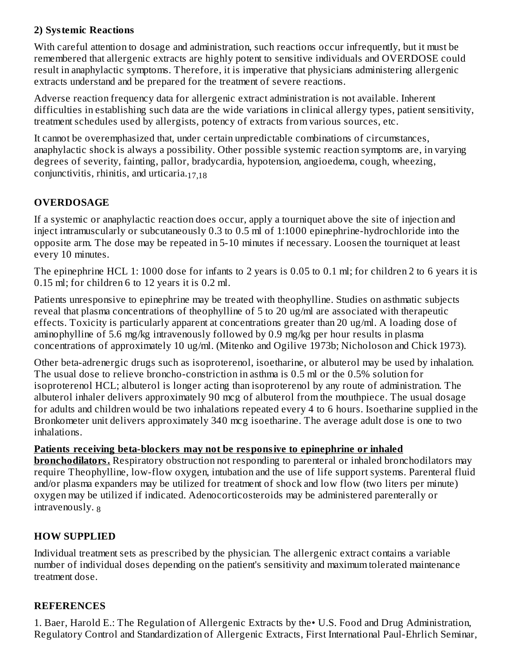## **2) Systemic Reactions**

With careful attention to dosage and administration, such reactions occur infrequentIy, but it must be remembered that allergenic extracts are highly potent to sensitive individuals and OVERDOSE could result in anaphylactic symptoms. Therefore, it is imperative that physicians administering allergenic extracts understand and be prepared for the treatment of severe reactions.

Adverse reaction frequency data for allergenic extract administration is not available. Inherent difficulties in establishing such data are the wide variations in clinical allergy types, patient sensitivity, treatment schedules used by allergists, potency of extracts from various sources, etc.

It cannot be overemphasized that, under certain unpredictable combinations of circumstances, anaphylactic shock is always a possibility. Other possible systemic reaction symptoms are, in varying degrees of severity, fainting, pallor, bradycardia, hypotension, angioedema, cough, wheezing, conjunctivitis, rhinitis, and urticaria. 17,18

## **OVERDOSAGE**

If a systemic or anaphylactic reaction does occur, apply a tourniquet above the site of injection and inject intramuscularly or subcutaneously 0.3 to 0.5 ml of 1:1000 epinephrine-hydrochloride into the opposite arm. The dose may be repeated in 5-10 minutes if necessary. Loosen the tourniquet at least every 10 minutes.

The epinephrine HCL 1: 1000 dose for infants to 2 years is 0.05 to 0.1 ml; for children 2 to 6 years it is 0.15 ml; for children 6 to 12 years it is 0.2 ml.

Patients unresponsive to epinephrine may be treated with theophylline. Studies on asthmatic subjects reveal that plasma concentrations of theophylline of 5 to 20 ug/ml are associated with therapeutic effects. Toxicity is particularly apparent at concentrations greater than 20 ug/ml. A loading dose of aminophylline of 5.6 mg/kg intravenously followed by 0.9 mg/kg per hour results in plasma concentrations of approximately 10 ug/ml. (Mitenko and Ogilive 1973b; Nicholoson and Chick 1973).

Other beta-adrenergic drugs such as isoproterenol, isoetharine, or albuterol may be used by inhalation. The usual dose to relieve broncho-constriction in asthma is 0.5 ml or the 0.5% solution for isoproterenol HCL; albuterol is longer acting than isoproterenol by any route of administration. The albuterol inhaler delivers approximately 90 mcg of albuterol from the mouthpiece. The usual dosage for adults and children would be two inhalations repeated every 4 to 6 hours. Isoetharine supplied in the Bronkometer unit delivers approximately 340 mcg isoetharine. The average adult dose is one to two inhalations.

### **Patients receiving beta-blockers may not be responsive to epinephrine or inhaled**

**bronchodilators.** Respiratory obstruction not responding to parenteral or inhaled bronchodilators may require Theophylline, low-flow oxygen, intubation and the use of life support systems. Parenteral fluid and/or plasma expanders may be utilized for treatment of shock and low flow (two liters per minute) oxygen may be utilized if indicated. Adenocorticosteroids may be administered parenterally or intravenously. 8

### **HOW SUPPLIED**

Individual treatment sets as prescribed by the physician. The allergenic extract contains a variable number of individual doses depending on the patient's sensitivity and maximum tolerated maintenance treatment dose.

#### **REFERENCES**

1. Baer, Harold E.: The Regulation of Allergenic Extracts by the• U.S. Food and Drug Administration, Regulatory Control and Standardization of Allergenic Extracts, First International Paul-Ehrlich Seminar,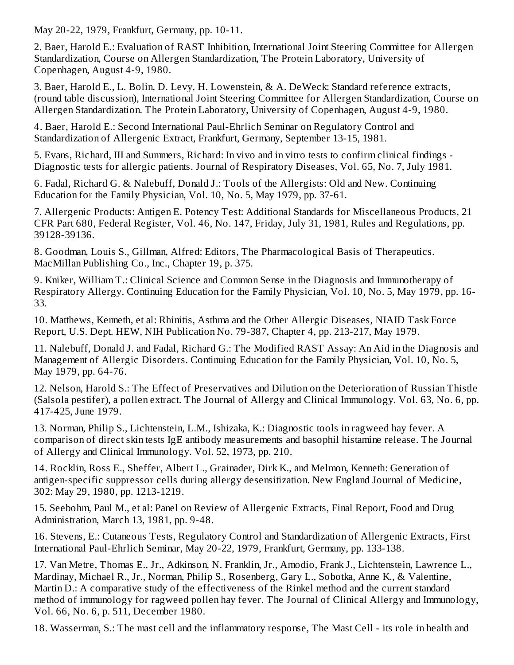May 20-22, 1979, Frankfurt, Germany, pp. 10-11.

2. Baer, Harold E.: Evaluation of RAST Inhibition, International Joint Steering Committee for Allergen Standardization, Course on Allergen Standardization, The Protein Laboratory, University of Copenhagen, August 4-9, 1980.

3. Baer, Harold E., L. Bolin, D. Levy, H. Lowenstein, & A. DeWeck: Standard reference extracts, (round table discussion), International Joint Steering Committee for Allergen Standardization, Course on Allergen Standardization. The Protein Laboratory, University of Copenhagen, August 4-9, 1980.

4. Baer, Harold E.: Second International Paul-Ehrlich Seminar on Regulatory Control and Standardization of Allergenic Extract, Frankfurt, Germany, September 13-15, 1981.

5. Evans, Richard, III and Summers, Richard: In vivo and in vitro tests to confirm clinical findings - Diagnostic tests for allergic patients. Journal of Respiratory Diseases, Vol. 65, No. 7, July 1981.

6. Fadal, Richard G. & Nalebuff, Donald J.: Tools of the Allergists: Old and New. Continuing Education for the Family Physician, Vol. 10, No. 5, May 1979, pp. 37-61.

7. Allergenic Products: Antigen E. Potency Test: Additional Standards for Miscellaneous Products, 21 CFR Part 680, Federal Register, Vol. 46, No. 147, Friday, July 31, 1981, Rules and Regulations, pp. 39128-39136.

8. Goodman, Louis S., Gillman, Alfred: Editors, The Pharmacological Basis of Therapeutics. MacMillan Publishing Co., Inc., Chapter 19, p. 375.

9. Kniker, William T.: Clinical Science and Common Sense in the Diagnosis and Immunotherapy of Respiratory Allergy. Continuing Education for the Family Physician, Vol. 10, No. 5, May 1979, pp. 16- 33.

10. Matthews, Kenneth, et al: Rhinitis, Asthma and the Other Allergic Diseases, NIAID Task Force Report, U.S. Dept. HEW, NIH Publication No. 79-387, Chapter 4, pp. 213-217, May 1979.

11. Nalebuff, Donald J. and Fadal, Richard G.: The Modified RAST Assay: An Aid in the Diagnosis and Management of Allergic Disorders. Continuing Education for the Family Physician, Vol. 10, No. 5, May 1979, pp. 64-76.

12. Nelson, Harold S.: The Effect of Preservatives and Dilution on the Deterioration of Russian Thistle (Salsola pestifer), a pollen extract. The Journal of Allergy and Clinical Immunology. Vol. 63, No. 6, pp. 417-425, June 1979.

13. Norman, Philip S., Lichtenstein, L.M., Ishizaka, K.: Diagnostic tools in ragweed hay fever. A comparison of direct skin tests IgE antibody measurements and basophil histamine release. The Journal of Allergy and Clinical Immunology. Vol. 52, 1973, pp. 210.

14. Rocklin, Ross E., Sheffer, Albert L., Grainader, Dirk K., and Melmon, Kenneth: Generation of antigen-specific suppressor cells during allergy desensitization. New England Journal of Medicine, 302: May 29, 1980, pp. 1213-1219.

15. Seebohm, Paul M., et al: Panel on Review of Allergenic Extracts, Final Report, Food and Drug Administration, March 13, 1981, pp. 9-48.

16. Stevens, E.: Cutaneous Tests, Regulatory Control and Standardization of Allergenic Extracts, First International Paul-Ehrlich Seminar, May 20-22, 1979, Frankfurt, Germany, pp. 133-138.

17. Van Metre, Thomas E., Jr., Adkinson, N. Franklin, Jr., Amodio, Frank J., Lichtenstein, Lawrence L., Mardinay, Michael R., Jr., Norman, Philip S., Rosenberg, Gary L., Sobotka, Anne K., & Valentine, Martin D.: A comparative study of the effectiveness of the Rinkel method and the current standard method of immunology for ragweed pollen hay fever. The Journal of Clinical Allergy and Immunology, Vol. 66, No. 6, p. 511, December 1980.

18. Wasserman, S.: The mast cell and the inflammatory response, The Mast Cell - its role in health and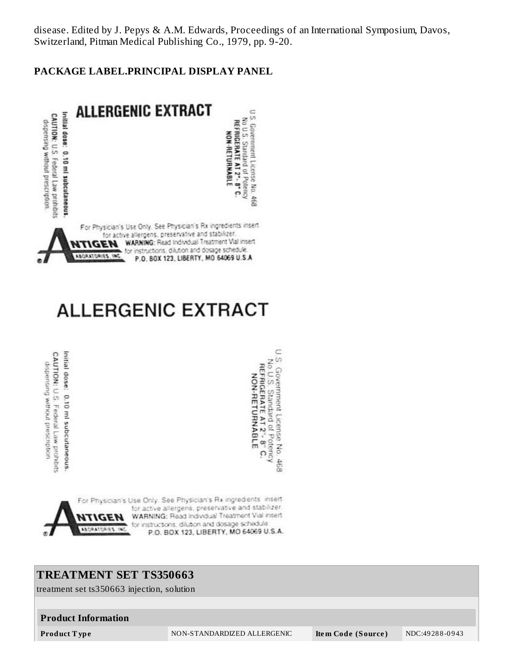disease. Edited by J. Pepys & A.M. Edwards, Proceedings of an International Symposium, Davos, Switzerland, Pitman Medical Publishing Co., 1979, pp. 9-20.

#### **PACKAGE LABEL.PRINCIPAL DISPLAY PANEL**



# **ALLERGENIC EXTRACT**

CAUTION: U.S. Federal Law prohibits Initial dose: 0.10 ml subcutaneous. dispension without prescription

I.S. Government License No. 468<br>No.U.S. Standard of Potency<br>REFRIGERATE AT 2"- 8" C.<br>NON-RETURNABLE

C



### **TREATMENT SET TS350663**

treatment set ts350663 injection, solution

#### **Product Information**

**Product T ype** NON-STANDARDIZED ALLERGENIC **Ite m Code (Source )** NDC:49 28 8 -0 9 43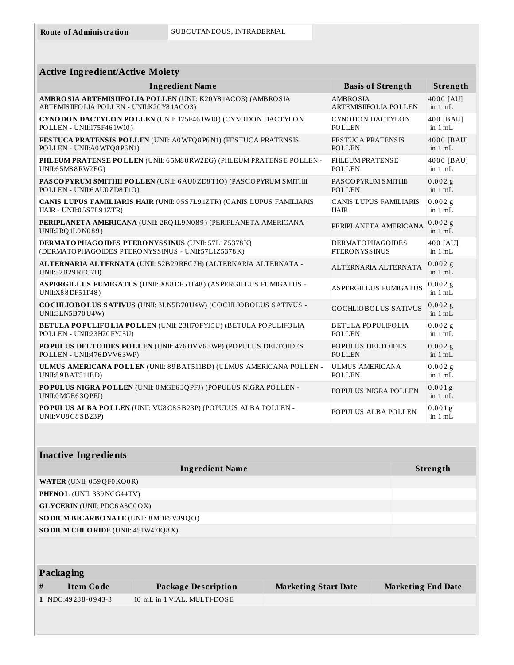| <b>Active Ingredient/Active Moiety</b>                                                  |                               |                        |
|-----------------------------------------------------------------------------------------|-------------------------------|------------------------|
| <b>Ingredient Name</b>                                                                  | <b>Basis of Strength</b>      | Strength               |
| AMBRO SIA ARTEMISIIFOLIA POLLEN (UNII: K20Y81ACO3) (AMBROSIA                            | <b>AMBROSIA</b>               | 4000 [AU]              |
| ARTEMISIIFOLIA POLLEN - UNII:K20Y81ACO3)                                                | <b>ARTEMIS IIFOLIA POLLEN</b> | in $1 mL$              |
| CYNODON DACTYLON POLLEN (UNII: 175F461W10) (CYNODON DACTYLON                            | CYNODON DACTYLON              | 400 [BAU]              |
| POLLEN - UNII:175F461W10)                                                               | <b>POLLEN</b>                 | in $1 mL$              |
| FESTUCA PRATENSIS POLLEN (UNII: A0WFQ8P6N1) (FESTUCA PRATENSIS                          | <b>FESTUCA PRATENSIS</b>      | 4000 [BAU]             |
| POLLEN - UNII:A0WFQ8P6N1)                                                               | <b>POLLEN</b>                 | in $1 mL$              |
| PHLEUM PRATENSE POLLEN (UNII: 65M88RW2EG) (PHLEUM PRATENSE POLLEN -                     | PHLEUM PRATENSE               | 4000 [BAU]             |
| UNII:65M88RW2EG)                                                                        | <b>POLLEN</b>                 | in $1 mL$              |
| PASCOPYRUM SMITHII POLLEN (UNII: 6 AU0 ZD8T1O) (PASCOPYRUM SMITHII                      | PASCOPYRUM SMITHII            | $0.002$ g              |
| POLLEN - UNII:6 AU0ZD8T1O)                                                              | <b>POLLEN</b>                 | in $1 mL$              |
| CANIS LUPUS FAMILIARIS HAIR (UNII: 05S7L91ZTR) (CANIS LUPUS FAMILIARIS                  | <b>CANIS LUPUS FAMILIARIS</b> | $0.002$ g              |
| HAIR - UNII:05S7L91ZTR)                                                                 | <b>HAIR</b>                   | in $1 mL$              |
| PERIPLANETA AMERICANA (UNII: 2RQ 1L9 N089) (PERIPLANETA AMERICANA -<br>UNII:2RQ1L9N089) | PERIPLANETA AMERICANA         | $0.002$ g<br>in $1 mL$ |
| <b>DERMATO PHAGO IDES PTERO NYSSINUS (UNII: 57L1Z5378K)</b>                             | <b>DERMATOPHAGOIDES</b>       | 400 [AU]               |
| (DERMATOPHAGOIDES PTERONYSSINUS - UNII:57L1Z5378K)                                      | <b>PTERONYSSINUS</b>          | in 1 mL                |
| ALTERNARIA ALTERNATA (UNII: 52B29 REC7H) (ALTERNARIA ALTERNATA -<br>UNII:52B29REC7H)    | ALTERNARIA ALTERNATA          | $0.002$ g<br>in $1 mL$ |
| ASPERGILLUS FUMIGATUS (UNII: X88DF51T48) (ASPERGILLUS FUMIGATUS -<br>UNII:X88DF51T48)   | <b>ASPERGILLUS FUMIGATUS</b>  | $0.002$ g<br>in 1 mL   |
| COCHLIOBOLUS SATIVUS (UNII: 3LN5B70U4W) (COCHLIOBOLUS SATIVUS -<br>UNII:3LN5B70U4W)     | <b>COCHLIOBOLUS SATIVUS</b>   | $0.002$ g<br>in $1 mL$ |
| BETULA POPULIFOLIA POLLEN (UNII: 23H70 FYJ5U) (BETULA POPULIFOLIA                       | <b>BETULA POPULIFOLIA</b>     | 0.002g                 |
| POLLEN - UNII:23H70 FYJ5U)                                                              | <b>POLLEN</b>                 | in $1 mL$              |
| POPULUS DELTOIDES POLLEN (UNII: 476 DVV63WP) (POPULUS DELTOIDES                         | POPULUS DELTOIDES             | $0.002$ g              |
| POLLEN - UNII:476 DVV63WP)                                                              | <b>POLLEN</b>                 | in $1 mL$              |
| ULMUS AMERICANA POLLEN (UNII: 89 BAT511BD) (ULMUS AMERICANA POLLEN -                    | <b>ULMUS AMERICANA</b>        | $0.002$ g              |
| UNI:89BAT511BD)                                                                         | <b>POLLEN</b>                 | in $1 mL$              |
| POPULUS NIGRA POLLEN (UNII: 0 MGE63QPFJ) (POPULUS NIGRA POLLEN -<br>UNII:0 MGE63QPFJ)   | POPULUS NIGRA POLLEN          | 0.001g<br>in $1 mL$    |
| POPULUS ALBA POLLEN (UNII: VU8C8SB23P) (POPULUS ALBA POLLEN -<br>UNII: VU8 C8 SB23P)    | POPULUS ALBA POLLEN           | $0.001$ g<br>in $1 mL$ |

| <b>Ingredient Name</b>                        | Strength |
|-----------------------------------------------|----------|
| <b>WATER (UNII: 059QF0KO0R)</b>               |          |
| <b>PHENOL</b> (UNII: 339 NCG44TV)             |          |
| <b>GLYCERIN</b> (UNII: PDC6A3C0OX)            |          |
| <b>SODIUM BICARBONATE</b> (UNII: 8 MDF5V39QO) |          |
| <b>SODIUM CHLORIDE</b> (UNII: 451W47IQ8X)     |          |

|   | Packaging            |                             |                             |                           |
|---|----------------------|-----------------------------|-----------------------------|---------------------------|
| # | Item Code            | Package Description         | <b>Marketing Start Date</b> | <b>Marketing End Date</b> |
|   | $1$ NDC:49288-0943-3 | 10 mL in 1 VIAL, MULTI-DOSE |                             |                           |
|   |                      |                             |                             |                           |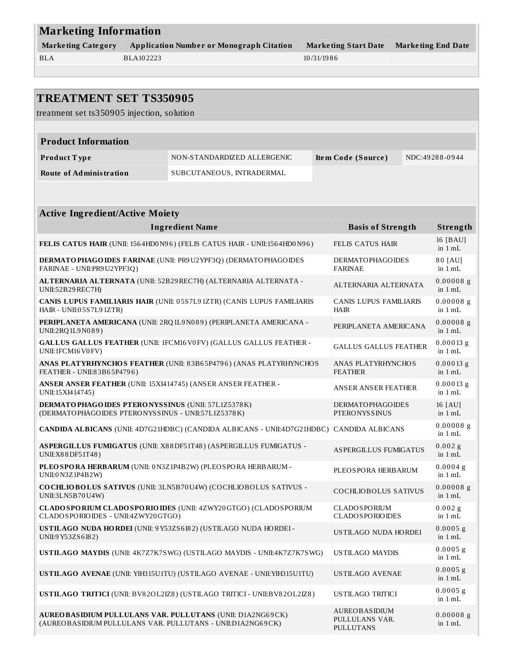| <b>Marketing Information</b> |                                                 |                      |                           |  |
|------------------------------|-------------------------------------------------|----------------------|---------------------------|--|
| <b>Marketing Category</b>    | <b>Application Number or Monograph Citation</b> | Marketing Start Date | <b>Marketing End Date</b> |  |
| <b>BLA</b>                   | BLA102223                                       | 10/31/1986           |                           |  |
|                              |                                                 |                      |                           |  |

| <b>TREATMENT SET TS350905</b><br>treatment set ts350905 injection, solution                                                     |                                                                          |  |                                                            |  |                          |
|---------------------------------------------------------------------------------------------------------------------------------|--------------------------------------------------------------------------|--|------------------------------------------------------------|--|--------------------------|
|                                                                                                                                 |                                                                          |  |                                                            |  |                          |
| <b>Product Information</b>                                                                                                      |                                                                          |  |                                                            |  |                          |
| Product Type                                                                                                                    | NON-STANDARDIZED ALLERGENIC                                              |  | Item Code (Source)                                         |  | NDC:49288-0944           |
| <b>Route of Administration</b>                                                                                                  | SUBCUTANEOUS, INTRADERMAL                                                |  |                                                            |  |                          |
|                                                                                                                                 |                                                                          |  |                                                            |  |                          |
| <b>Active Ingredient/Active Moiety</b>                                                                                          |                                                                          |  |                                                            |  |                          |
|                                                                                                                                 | <b>Ingredient Name</b>                                                   |  | <b>Basis of Strength</b>                                   |  | Strength                 |
|                                                                                                                                 | FELIS CATUS HAIR (UNII: 1564HD0N96) (FELIS CATUS HAIR - UNII:1564HD0N96) |  | <b>FELIS CATUS HAIR</b>                                    |  | 16 [BAU]<br>in $1 mL$    |
| FARINAE - UNII: PR9 U2 YPF3Q)                                                                                                   | DERMATO PHAGO IDES FARINAE (UNII: PR9U2YPF3Q) (DERMATO PHAGO IDES        |  | <b>DERMATOPHAGOIDES</b><br><b>FARINAE</b>                  |  | 80 [AU]<br>in $1 mL$     |
| UNII:52B29REC7H)                                                                                                                | ALTERNARIA ALTERNATA (UNII: 52B29 REC7H) (ALTERNARIA ALTERNATA -         |  | ALTERNARIA ALTERNATA                                       |  | $0.00008$ g<br>in $1 mL$ |
| HAIR - UNII:05S7L91ZTR)                                                                                                         | CANIS LUPUS FAMILIARIS HAIR (UNII: 05S7L91ZTR) (CANIS LUPUS FAMILIARIS   |  | <b>CANIS LUPUS FAMILIARIS</b><br><b>HAIR</b>               |  | $0.00008$ g<br>in 1 mL   |
| UNII:2RQ1L9N089)                                                                                                                | PERIPLANETA AMERICANA (UNII: 2RQ 1L9 N089) (PERIPLANETA AMERICANA -      |  | PERIPLANETA AMERICANA                                      |  | $0.00008$ g<br>in $1 mL$ |
| UNII:1FCM16V0FV)                                                                                                                | <b>GALLUS GALLUS FEATHER (UNII: 1FCM16V0FV) (GALLUS GALLUS FEATHER -</b> |  | <b>GALLUS GALLUS FEATHER</b>                               |  | $0.00013$ g<br>in $1 mL$ |
| FEATHER - UNII:83B65P4796)                                                                                                      | ANAS PLATYRHYNCHOS FEATHER (UNII: 83B65P4796) (ANAS PLATYRHYNCHOS        |  | ANAS PLATYRHYNCHOS<br><b>FEATHER</b>                       |  | $0.00013$ g<br>in $1 mL$ |
| ANSER ANSER FEATHER (UNII: 15XI414745) (ANSER ANSER FEATHER -<br>UNII:15XI414745)                                               |                                                                          |  | <b>ANSER ANSER FEATHER</b>                                 |  | $0.00013$ g<br>in 1 mL   |
| <b>DERMATO PHAGO IDES PTERO NYSSINUS (UNII: 57L1Z5378K)</b><br>(DERMATOPHAGOIDES PTERONYSSINUS - UNII:57L1Z5378K)               |                                                                          |  | <b>DERMATOPHAGOIDES</b><br><b>PTERONYSSINUS</b>            |  | 16 [AU]<br>in $1 mL$     |
|                                                                                                                                 | CANDIDA ALBICANS (UNII: 4D7G21HDBC) (CANDIDA ALBICANS - UNII:4D7G21HDBC) |  | <b>CANDIDA ALBICANS</b>                                    |  | $0.00008$ g<br>in $1 mL$ |
| UNII:X88DF51T48)                                                                                                                | ASPERGILLUS FUMIGATUS (UNII: X88DF51T48) (ASPERGILLUS FUMIGATUS -        |  | <b>ASPERGILLUS FUMIGATUS</b>                               |  | $0.002$ g<br>in $1 mL$   |
| PLEOSPORA HERBARUM (UNII: 0N3Z1P4B2W) (PLEOSPORA HERBARUM -<br>UNII:0 N3Z1P4B2W)                                                |                                                                          |  | PLEOSPORA HERBARUM                                         |  | $0.0004$ g<br>in 1 mL    |
| UNII:3LN5B70U4W)                                                                                                                | COCHLIOBOLUS SATIVUS (UNII: 3LN5B70U4W) (COCHLIOBOLUS SATIVUS -          |  | COCHLIOBOLUS SATIVUS                                       |  | $0.00008$ g<br>in $1$ mL |
| CLADOSPORIOIDES - UNII:4ZWY20GTGO)                                                                                              | CLADO SPORIUM CLADO SPORIO IDES (UNII: 4ZWY20GTGO) (CLADO SPORIUM        |  | <b>CLADOSPORIUM</b><br><b>CLADOSPORIOIDES</b>              |  | $0.002$ g<br>in 1 mL     |
| USTILAGO NUDA HORDEI (UNII: 9Y53ZS6I82) (USTILAGO NUDA HORDEI -<br>UNII:9 Y53ZS6I82)                                            |                                                                          |  | USTILAGO NUDA HORDEI                                       |  | $0.0005$ g<br>in $1 mL$  |
|                                                                                                                                 | USTILAGO MAYDIS (UNII: 4K7Z7K7SWG) (USTILAGO MAYDIS - UNII:4K7Z7K7SWG)   |  | <b>USTILAGO MAYDIS</b>                                     |  | $0.0005$ g<br>in 1 mL    |
|                                                                                                                                 | USTILAGO AVENAE (UNII: YIH315U1TU) (USTILAGO AVENAE - UNII: YIH315U1TU)  |  | USTILAGO AVENAE                                            |  | $0.0005$ g<br>in 1 mL    |
|                                                                                                                                 | USTILAGO TRITICI (UNII: BV82OL2IZ8) (USTILAGO TRITICI - UNII:BV82OL2IZ8) |  | USTILAGO TRITICI                                           |  | $0.0005$ g<br>in 1 mL    |
| <b>AUREO BASIDIUM PULLULANS VAR. PULLUTANS (UNII: D1A2NG69CK)</b><br>(AUREOBASIDIUM PULLULANS VAR. PULLUTANS - UNII:D1A2NG69CK) |                                                                          |  | <b>AUREOBASIDIUM</b><br>PULLULANS VAR.<br><b>PULLUTANS</b> |  | $0.00008$ g<br>in $1$ mL |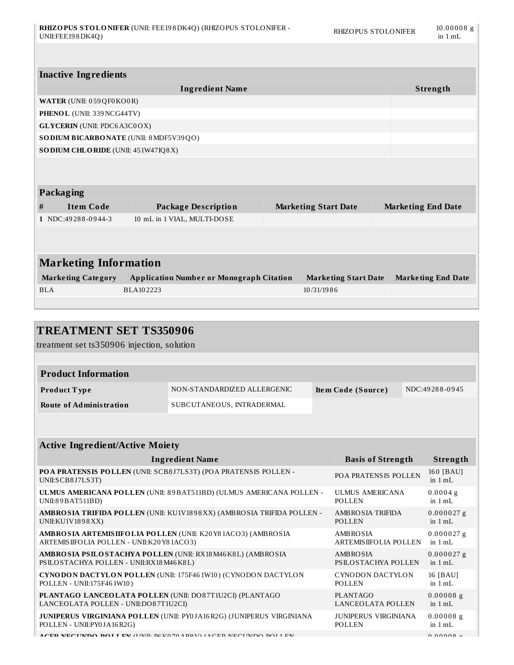| UNII:FEE198DK4Q)                       | RHIZOPUS STOLONIFER (UNII: FEE198DK4Q) (RHIZOPUS STOLONIFER - |                             | <b>RHIZOPUS STOLONIFER</b>  |                           | $10.00008$ g<br>in $1 mL$ |
|----------------------------------------|---------------------------------------------------------------|-----------------------------|-----------------------------|---------------------------|---------------------------|
|                                        |                                                               |                             |                             |                           |                           |
| <b>Inactive Ingredients</b>            |                                                               |                             |                             |                           |                           |
|                                        | <b>Ingredient Name</b>                                        |                             |                             |                           | Strength                  |
| WATER (UNII: 059 QF0 KO0 R)            |                                                               |                             |                             |                           |                           |
| PHENOL (UNII: 339 NCG44TV)             |                                                               |                             |                             |                           |                           |
| <b>GLYCERIN</b> (UNII: PDC6A3C0OX)     |                                                               |                             |                             |                           |                           |
| SODIUM BICARBONATE (UNII: 8 MDF5V39QO) |                                                               |                             |                             |                           |                           |
| SO DIUM CHLORIDE (UNII: 451W47IQ8X)    |                                                               |                             |                             |                           |                           |
|                                        |                                                               |                             |                             |                           |                           |
| <b>Packaging</b>                       |                                                               |                             |                             |                           |                           |
| #<br><b>Item Code</b>                  | <b>Package Description</b>                                    | <b>Marketing Start Date</b> |                             | <b>Marketing End Date</b> |                           |
| 1 NDC:49288-0944-3                     | 10 mL in 1 VIAL, MULTI-DOSE                                   |                             |                             |                           |                           |
|                                        |                                                               |                             |                             |                           |                           |
|                                        |                                                               |                             |                             |                           |                           |
| <b>Marketing Information</b>           |                                                               |                             |                             |                           |                           |
| <b>Marketing Category</b>              | <b>Application Number or Monograph Citation</b>               |                             | <b>Marketing Start Date</b> |                           | <b>Marketing End Date</b> |
| BLA                                    | BLA102223                                                     | 10/31/1986                  |                             |                           |                           |
|                                        |                                                               |                             |                             |                           |                           |

| <b>TREATMENT SET TS350906</b>                                                                            |                                                                       |  |                                              |  |                                   |
|----------------------------------------------------------------------------------------------------------|-----------------------------------------------------------------------|--|----------------------------------------------|--|-----------------------------------|
| treatment set ts350906 injection, solution                                                               |                                                                       |  |                                              |  |                                   |
|                                                                                                          |                                                                       |  |                                              |  |                                   |
| <b>Product Information</b>                                                                               |                                                                       |  |                                              |  |                                   |
| Product Type                                                                                             | NON-STANDARDIZED ALLERGENIC                                           |  | Item Code (Source)                           |  | NDC:49288-0945                    |
| <b>Route of Administration</b>                                                                           | SUBCUTANEOUS, INTRADERMAL                                             |  |                                              |  |                                   |
|                                                                                                          |                                                                       |  |                                              |  |                                   |
|                                                                                                          |                                                                       |  |                                              |  |                                   |
| <b>Active Ingredient/Active Moiety</b>                                                                   |                                                                       |  |                                              |  |                                   |
|                                                                                                          | <b>Ingredient Name</b>                                                |  | <b>Basis of Strength</b>                     |  | <b>Strength</b>                   |
| POA PRATENSIS POLLEN (UNII: SCB8J7LS3T) (POA PRATENSIS POLLEN -<br>UNII:SCB8J7LS3T)                      |                                                                       |  | POA PRATENSIS POLLEN                         |  | 160 [BAU]<br>in $1 \text{ mL}$    |
| UNII:89 BAT511BD)                                                                                        | ULMUS AMERICANA POLLEN (UNII: 89 BAT511BD) (ULMUS AMERICANA POLLEN -  |  | <b>ULMUS AMERICANA</b><br><b>POLLEN</b>      |  | 0.0004g<br>in $1 \text{ mL}$      |
| UNII:KU1V1898XX)                                                                                         | AMBROSIA TRIFIDA POLLEN (UNII: KU1V1898XX) (AMBROSIA TRIFIDA POLLEN - |  | <b>AMBROSIA TRIFIDA</b><br><b>POLLEN</b>     |  | $0.000027$ g<br>in 1 mL           |
| AMBROSIA ARTEMISIIFOLIA POLLEN (UNII: K20Y81ACO3) (AMBROSIA<br>ARTEMISIIFOLIA POLLEN - UNII:K20Y81ACO3)  |                                                                       |  | <b>AMBROSIA</b><br>ARTEMISIIFOLIA POLLEN     |  | $0.000027$ g<br>in $1 \text{ mL}$ |
| AMBRO SIA PSILO STACHYA POLLEN (UNII: RX18 M46 K8L) (AMBRO SIA<br>PSILOSTACHYA POLLEN - UNII:RX18M46K8L) |                                                                       |  | <b>AMBROSIA</b><br>PSILOSTACHYA POLLEN       |  | $0.000027$ g<br>in $1 mL$         |
| POLLEN - UNII:175F461W10)                                                                                | CYNODON DACTYLON POLLEN (UNII: 175F461W10) (CYNODON DACTYLON          |  | <b>CYNODON DACTYLON</b><br><b>POLLEN</b>     |  | 16 [BAU]<br>in $1 \text{ mL}$     |
| PLANTAGO LANCEOLATA POLLEN (UNII: DO87T1U2CI) (PLANTAGO<br>LANCEOLATA POLLEN - UNII:DO87T1U2CI)          |                                                                       |  | <b>PLANTAGO</b><br><b>LANCEOLATA POLLEN</b>  |  | $0.00008$ g<br>in $1 mL$          |
| POLLEN - UNII: PYOJA16 R2G)                                                                              | JUNIPERUS VIRGINIANA POLLEN (UNII: PY0JA16R2G) (JUNIPERUS VIRGINIANA  |  | <b>JUNIPERUS VIRGINIANA</b><br><b>POLLEN</b> |  | $0.00008$ g<br>in $1 mL$          |
| ACED MECHMINO BOLLEN (HMIL BEVAZA ADOVA (ACED MECHMINO BOLLEN)                                           |                                                                       |  |                                              |  | 0.0000a                           |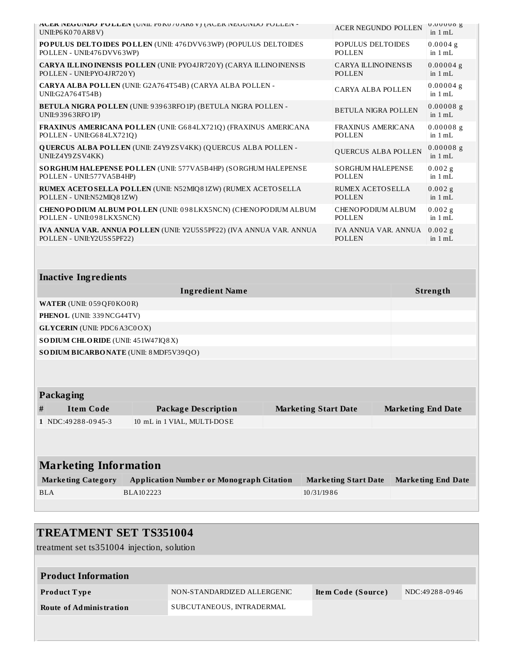| UNII:P6 K070 AR8 V)                         | AUER NEGUNDU PULLEN (UNII: PONU/UAKOV) (AUER NEGUNDU PULLEN -              |                             | <b>ACER NEGUNDO POLLEN</b>                  | <b>U.UUUUO g</b><br>in $1 mL$ |
|---------------------------------------------|----------------------------------------------------------------------------|-----------------------------|---------------------------------------------|-------------------------------|
| POLLEN - UNII:476 DVV63WP)                  | POPULUS DELTOIDES POLLEN (UNII: 476 DVV63WP) (POPULUS DELTOIDES            |                             | POPULUS DELTOIDES<br>POLLEN                 | $0.0004$ g<br>in $1 mL$       |
| POLLEN - UNII:PYO4JR720Y)                   | <b>CARYA ILLINO INENSIS POLLEN (UNII: PYO4JR720Y) (CARYA ILLINOINENSIS</b> |                             | <b>CARYA ILLINOINENSIS</b><br><b>POLLEN</b> | $0.00004$ g<br>in $1 mL$      |
| UNII:G2A764T54B)                            | CARYA ALBA POLLEN (UNII: G2A764T54B) (CARYA ALBA POLLEN -                  |                             | CARYA ALBA POLLEN                           | $0.00004$ g<br>in $1 mL$      |
| UNII:93963RFO1P)                            | BETULA NIGRA POLLEN (UNII: 93963RFO1P) (BETULA NIGRA POLLEN -              |                             | <b>BETULA NIGRA POLLEN</b>                  | $0.00008$ g<br>in $1 mL$      |
| POLLEN - UNII:G684LX721Q)                   | FRAXINUS AMERICANA POLLEN (UNII: G684LX721Q) (FRAXINUS AMERICANA           |                             | FRAXINUS AMERICANA<br><b>POLLEN</b>         | $0.00008$ g<br>in $1 mL$      |
| UNII:Z4Y9ZSV4KK)                            | <b>QUERCUS ALBA POLLEN (UNII: Z4Y9ZSV4KK) (QUERCUS ALBA POLLEN -</b>       |                             | QUERCUS ALBA POLLEN                         | $0.00008$ g<br>in $1 mL$      |
| POLLEN - UNII:577VA5B4HP)                   | SORGHUM HALEPENSE POLLEN (UNII: 577VA5B4HP) (SORGHUM HALEPENSE             |                             | <b>SORGHUM HALEPENSE</b><br>POLLEN          | $0.002$ g<br>in $1 mL$        |
| POLLEN - UNII:N52MIQ81ZW)                   | RUMEX ACETOSELLA POLLEN (UNII: N52MIQ81ZW) (RUMEX ACETOSELLA               |                             | <b>RUMEX ACETOSELLA</b><br>POLLEN           | $0.002$ g<br>in $1 mL$        |
| POLLEN - UNII:098LKX5NCN)                   | CHENOPODIUM ALBUM POLLEN (UNII: 098LKX5NCN) (CHENOPODIUM ALBUM             |                             | CHENOPODIUM ALBUM<br>POLLEN                 | $0.002$ g<br>in $1 mL$        |
| POLLEN - UNII:Y2U5S5PF22)                   | IVA ANNUA VAR. ANNUA POLLEN (UNII: Y2U5S5PF22) (IVA ANNUA VAR. ANNUA       |                             | IVA ANNUA VAR. ANNUA<br><b>POLLEN</b>       | $0.002$ g<br>in $1 mL$        |
|                                             |                                                                            |                             |                                             |                               |
|                                             |                                                                            |                             |                                             |                               |
| <b>Inactive Ingredients</b>                 |                                                                            |                             |                                             |                               |
|                                             | <b>Ingredient Name</b>                                                     |                             |                                             | Strength                      |
| WATER (UNII: 059 QF0 KO0 R)                 |                                                                            |                             |                                             |                               |
| PHENOL (UNII: 339 NCG44TV)                  |                                                                            |                             |                                             |                               |
| <b>GLYCERIN</b> (UNII: PDC6A3C0OX)          |                                                                            |                             |                                             |                               |
| SODIUM CHLORIDE (UNII: 451W47IQ8X)          |                                                                            |                             |                                             |                               |
| SODIUM BICARBONATE (UNII: 8 MDF5V39QO)      |                                                                            |                             |                                             |                               |
|                                             |                                                                            |                             |                                             |                               |
|                                             |                                                                            |                             |                                             |                               |
| Packaging                                   |                                                                            |                             |                                             |                               |
| <b>Item Code</b><br>#<br>1 NDC:49288-0945-3 | <b>Package Description</b><br>10 mL in 1 VIAL, MULTI-DOSE                  | <b>Marketing Start Date</b> |                                             | <b>Marketing End Date</b>     |
|                                             |                                                                            |                             |                                             |                               |
| <b>Marketing Information</b>                |                                                                            |                             |                                             |                               |
| <b>Marketing Category</b>                   | <b>Application Number or Monograph Citation</b>                            |                             | <b>Marketing Start Date</b>                 | <b>Marketing End Date</b>     |
| <b>BLA</b>                                  | BLA102223                                                                  | 10/31/1986                  |                                             |                               |

## **TREATMENT SET TS351004**

treatment set ts351004 injection, solution

| <b>Product Information</b> |                             |                    |                |
|----------------------------|-----------------------------|--------------------|----------------|
| <b>Product Type</b>        | NON-STANDARDIZED ALLERGENIC | Item Code (Source) | NDC:49288-0946 |
| Route of Administration    | SUBCUTANEOUS, INTRADERMAL   |                    |                |
|                            |                             |                    |                |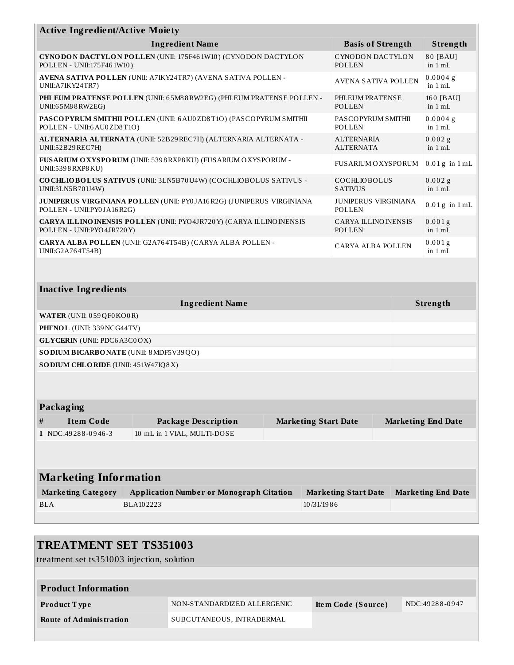| <b>Active Ingredient/Active Moiety</b>                                                                                      |                                                                             |  |                                       |                             |                           |
|-----------------------------------------------------------------------------------------------------------------------------|-----------------------------------------------------------------------------|--|---------------------------------------|-----------------------------|---------------------------|
|                                                                                                                             | <b>Ingredient Name</b>                                                      |  |                                       | <b>Basis of Strength</b>    | Strength                  |
| POLLEN - UNII:175F461W10)                                                                                                   | <b>CYNODON DACTYLON POLLEN (UNII: 175F461W10) (CYNODON DACTYLON</b>         |  | POLLEN                                | CYNODON DACTYLON            | 80 [BAU]<br>in $1 mL$     |
| UNII:A7IKY24TR7)                                                                                                            | AVENA SATIVA POLLEN (UNII: A7IKY24TR7) (AVENA SATIVA POLLEN -               |  |                                       | AVENA SATIVA POLLEN         | 0.0004g<br>in $1 mL$      |
| PHLEUM PRATENSE POLLEN (UNII: 65M88RW2EG) (PHLEUM PRATENSE POLLEN -<br>PHLEUM PRATENSE<br>UNII:65M88RW2EG)<br><b>POLLEN</b> |                                                                             |  |                                       | 160 [BAU]<br>in $1 mL$      |                           |
| POLLEN - UNII:6 AU0ZD8T1O)                                                                                                  | PASCOPYRUM SMITHII POLLEN (UNII: 6 AU0 ZD8T10) (PASCOPYRUM SMITHII          |  | POLLEN                                | PASCOPYRUM SMITHII          | 0.0004g<br>in $1 mL$      |
| UNII:52B29REC7H)                                                                                                            | ALTERNARIA ALTERNATA (UNII: 52B29REC7H) (ALTERNARIA ALTERNATA -             |  | <b>ALTERNARIA</b><br><b>ALTERNATA</b> |                             | $0.002$ g<br>in $1 mL$    |
| UNII:5398 RXP8 KU)                                                                                                          | FUSARIUM O XYSPORUM (UNII: 5398 RXP8 KU) (FUSARIUM O XYSPORUM -             |  |                                       | <b>FUSARIUM OXYSPORUM</b>   | $0.01g$ in $1 mL$         |
| UNII:3LN5B70U4W)                                                                                                            | COCHLIOBOLUS SATIVUS (UNII: 3LN5B70U4W) (COCHLIOBOLUS SATIVUS -             |  | COCHLIOBOLUS<br><b>SATIVUS</b>        |                             | $0.002$ g<br>in $1 mL$    |
| POLLEN - UNII:PY0JA16R2G)                                                                                                   | <b>JUNIPERUS VIRGINIANA POLLEN (UNII: PY0JA16R2G) (JUNIPERUS VIRGINIANA</b> |  | POLLEN                                | <b>JUNIPERUS VIRGINIANA</b> | $0.01g$ in $1mL$          |
| POLLEN - UNII:PYO4JR720Y)                                                                                                   | <b>CARYA ILLINO INENSIS POLLEN (UNII: PYO4JR720Y) (CARYA ILLINOINENSIS</b>  |  | <b>CARYA ILLINOINENSIS</b><br>POLLEN  |                             | 0.001g<br>in $1 mL$       |
| CARYA ALBA POLLEN (UNII: G2A764T54B) (CARYA ALBA POLLEN -<br><b>CARYA ALBA POLLEN</b><br>UNII:G2A764T54B)                   |                                                                             |  |                                       | 0.001g<br>in $1 mL$         |                           |
|                                                                                                                             |                                                                             |  |                                       |                             |                           |
| <b>Inactive Ingredients</b>                                                                                                 |                                                                             |  |                                       |                             |                           |
|                                                                                                                             | <b>Ingredient Name</b>                                                      |  |                                       |                             | Strength                  |
| <b>WATER</b> (UNII: 059QF0KO0R)                                                                                             |                                                                             |  |                                       |                             |                           |
| PHENOL (UNII: 339 NCG44TV)                                                                                                  |                                                                             |  |                                       |                             |                           |
| <b>GLYCERIN</b> (UNII: PDC6A3C0OX)                                                                                          |                                                                             |  |                                       |                             |                           |
| SO DIUM BICARBONATE (UNII: 8 MDF5V39QO)                                                                                     |                                                                             |  |                                       |                             |                           |
| SODIUM CHLORIDE (UNII: 451W47IQ8X)                                                                                          |                                                                             |  |                                       |                             |                           |
|                                                                                                                             |                                                                             |  |                                       |                             |                           |
| Packaging                                                                                                                   |                                                                             |  |                                       |                             |                           |
| <b>Item Code</b><br>#                                                                                                       | <b>Package Description</b>                                                  |  | <b>Marketing Start Date</b>           |                             | <b>Marketing End Date</b> |
| 1 NDC:49288-0946-3                                                                                                          | 10 mL in 1 VIAL, MULTI-DOSE                                                 |  |                                       |                             |                           |
|                                                                                                                             |                                                                             |  |                                       |                             |                           |
| <b>Marketing Information</b>                                                                                                |                                                                             |  |                                       |                             |                           |
| <b>Marketing Category</b>                                                                                                   | <b>Application Number or Monograph Citation</b>                             |  | <b>Marketing Start Date</b>           |                             | <b>Marketing End Date</b> |
| <b>BLA</b>                                                                                                                  | BLA102223                                                                   |  | 10/31/1986                            |                             |                           |

## **TREATMENT SET TS351003**

treatment set ts351003 injection, solution

| <b>Product Information</b>     |                             |                    |                |
|--------------------------------|-----------------------------|--------------------|----------------|
| Product Type                   | NON-STANDARDIZED ALLERGENIC | Item Code (Source) | NDC:49288-0947 |
| <b>Route of Administration</b> | SUBCUTANEOUS, INTRADERMAL   |                    |                |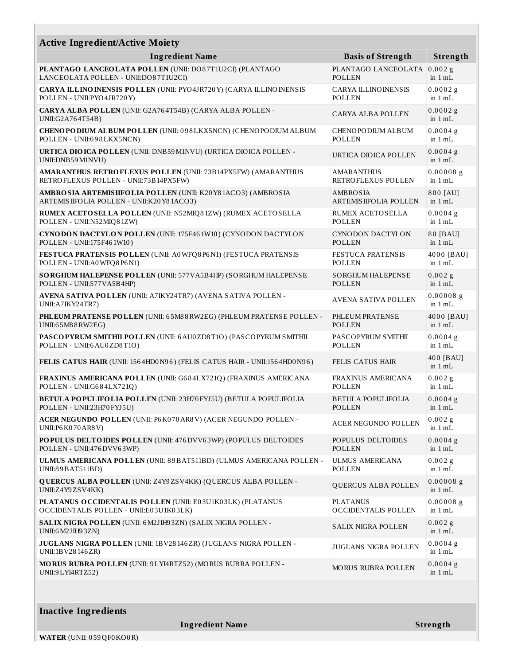| Strength<br><b>Ingredient Name</b><br><b>Basis of Strength</b><br>PLANTAGO LANCEOLATA<br>$0.002$ g<br>POLLEN<br>in $1 mL$<br><b>CARYA ILLINO INENSIS</b><br>$0.0002$ g<br>in $1$ mL<br><b>POLLEN</b><br>$0.0002$ g<br><b>CARYA ALBA POLLEN</b><br>in $1 mL$<br>0.0004g<br>CHENOPODIUM ALBUM<br>POLLEN<br>in $1 mL$<br>$0.0004$ g<br>URTICA DIOICA POLLEN<br>in 1 mL<br>$0.00008$ g<br><b>AMARANTHUS</b><br>RETROFLEXUS POLLEN<br>in $1 mL$<br>800 [AU]<br>AMBROSIA<br><b>ARTEMIS IIFOLIA POLLEN</b><br>in $1 mL$<br><b>RUMEX ACETOSELLA</b><br>0.0004g<br><b>POLLEN</b><br>in $1 mL$<br><b>CYNODON DACTYLON</b><br>80 [BAU]<br><b>POLLEN</b><br>in $1 mL$<br>4000 [BAU]<br><b>FESTUCA PRATENSIS</b><br><b>POLLEN</b><br>in $1 mL$<br><b>SORGHUM HALEPENSE</b><br>0.002g<br><b>POLLEN</b><br>in $1 mL$<br>$0.00008$ g<br>AVENA SATIVA POLLEN<br>in $1 mL$<br>PHLEUM PRATENSE<br>4000 [BAU]<br><b>POLLEN</b><br>in $1 mL$<br>PASCOPYRUM SMITHII<br>$0.0004$ g<br><b>POLLEN</b><br>in $1 mL$<br>400 [BAU]<br><b>FELIS CATUS HAIR</b><br>in $1 mL$<br>FRAXINUS AMERICANA<br>0.002g<br><b>POLLEN</b><br>in $1 mL$<br><b>BETULA POPULIFOLIA</b><br>$0.0004$ g | <b>Active Ingredient/Active Moiety</b>                                                                       |  |  |  |  |  |
|---------------------------------------------------------------------------------------------------------------------------------------------------------------------------------------------------------------------------------------------------------------------------------------------------------------------------------------------------------------------------------------------------------------------------------------------------------------------------------------------------------------------------------------------------------------------------------------------------------------------------------------------------------------------------------------------------------------------------------------------------------------------------------------------------------------------------------------------------------------------------------------------------------------------------------------------------------------------------------------------------------------------------------------------------------------------------------------------------------------------------------------------------------|--------------------------------------------------------------------------------------------------------------|--|--|--|--|--|
|                                                                                                                                                                                                                                                                                                                                                                                                                                                                                                                                                                                                                                                                                                                                                                                                                                                                                                                                                                                                                                                                                                                                                         |                                                                                                              |  |  |  |  |  |
|                                                                                                                                                                                                                                                                                                                                                                                                                                                                                                                                                                                                                                                                                                                                                                                                                                                                                                                                                                                                                                                                                                                                                         | PLANTAGO LANCEOLATA POLLEN (UNII: DO87T1U2CI) (PLANTAGO<br>LANCEOLATA POLLEN - UNII:DO87T1U2CI)              |  |  |  |  |  |
|                                                                                                                                                                                                                                                                                                                                                                                                                                                                                                                                                                                                                                                                                                                                                                                                                                                                                                                                                                                                                                                                                                                                                         | <b>CARYA ILLINO INENSIS POLLEN (UNII: PYO4JR720Y) (CARYA ILLINOINENSIS</b><br>POLLEN - UNII:PYO4JR720Y)      |  |  |  |  |  |
|                                                                                                                                                                                                                                                                                                                                                                                                                                                                                                                                                                                                                                                                                                                                                                                                                                                                                                                                                                                                                                                                                                                                                         | CARYA ALBA POLLEN (UNII: G2A764T54B) (CARYA ALBA POLLEN -<br>UNII:G2A764T54B)                                |  |  |  |  |  |
|                                                                                                                                                                                                                                                                                                                                                                                                                                                                                                                                                                                                                                                                                                                                                                                                                                                                                                                                                                                                                                                                                                                                                         | CHENOPODIUM ALBUM POLLEN (UNII: 098LKX5NCN) (CHENOPODIUM ALBUM<br>POLLEN - UNII:098LKX5NCN)                  |  |  |  |  |  |
|                                                                                                                                                                                                                                                                                                                                                                                                                                                                                                                                                                                                                                                                                                                                                                                                                                                                                                                                                                                                                                                                                                                                                         | <b>URTICA DIO ICA POLLEN (UNII: DNB59 M1NVU) (URTICA DIOICA POLLEN -</b><br>UNII:DNB59 M1NVU)                |  |  |  |  |  |
|                                                                                                                                                                                                                                                                                                                                                                                                                                                                                                                                                                                                                                                                                                                                                                                                                                                                                                                                                                                                                                                                                                                                                         | <b>AMARANTHUS RETROFLEXUS POLLEN (UNII: 73B14PX5FW) (AMARANTHUS</b><br>RETROFLEXUS POLLEN - UNII:73B14PX5FW) |  |  |  |  |  |
|                                                                                                                                                                                                                                                                                                                                                                                                                                                                                                                                                                                                                                                                                                                                                                                                                                                                                                                                                                                                                                                                                                                                                         | AMBRO SIA ARTEMISIIFOLIA POLLEN (UNII: K20Y81ACO3) (AMBROSIA<br>ARTEMISIIFOLIA POLLEN - UNII:K20Y81ACO3)     |  |  |  |  |  |
|                                                                                                                                                                                                                                                                                                                                                                                                                                                                                                                                                                                                                                                                                                                                                                                                                                                                                                                                                                                                                                                                                                                                                         | RUMEX ACETOSELLA POLLEN (UNII: N52MIQ81ZW) (RUMEX ACETOSELLA<br>POLLEN - UNII:N52MIQ81ZW)                    |  |  |  |  |  |
|                                                                                                                                                                                                                                                                                                                                                                                                                                                                                                                                                                                                                                                                                                                                                                                                                                                                                                                                                                                                                                                                                                                                                         | CYNODON DACTYLON POLLEN (UNII: 175F461W10) (CYNODON DACTYLON<br>POLLEN - UNII:175F461W10)                    |  |  |  |  |  |
|                                                                                                                                                                                                                                                                                                                                                                                                                                                                                                                                                                                                                                                                                                                                                                                                                                                                                                                                                                                                                                                                                                                                                         | FESTUCA PRATENSIS POLLEN (UNII: A0WFQ8P6N1) (FESTUCA PRATENSIS<br>POLLEN - UNII:A0WFQ8P6N1)                  |  |  |  |  |  |
|                                                                                                                                                                                                                                                                                                                                                                                                                                                                                                                                                                                                                                                                                                                                                                                                                                                                                                                                                                                                                                                                                                                                                         | SORGHUM HALEPENSE POLLEN (UNII: 577VA5B4HP) (SORGHUM HALEPENSE<br>POLLEN - UNII:577VA5B4HP)                  |  |  |  |  |  |
|                                                                                                                                                                                                                                                                                                                                                                                                                                                                                                                                                                                                                                                                                                                                                                                                                                                                                                                                                                                                                                                                                                                                                         | AVENA SATIVA POLLEN (UNII: A7IKY24TR7) (AVENA SATIVA POLLEN -<br>UNII: A7IKY24TR7)                           |  |  |  |  |  |
|                                                                                                                                                                                                                                                                                                                                                                                                                                                                                                                                                                                                                                                                                                                                                                                                                                                                                                                                                                                                                                                                                                                                                         | PHLEUM PRATENSE POLLEN (UNII: 65M88RW2EG) (PHLEUM PRATENSE POLLEN -<br>UNII:65M88RW2EG)                      |  |  |  |  |  |
|                                                                                                                                                                                                                                                                                                                                                                                                                                                                                                                                                                                                                                                                                                                                                                                                                                                                                                                                                                                                                                                                                                                                                         | PASCOPYRUM SMITHII POLLEN (UNII: 6 AU0 ZD8T10) (PASCOPYRUM SMITHII<br>POLLEN - UNII:6 AU0 ZD8T1O)            |  |  |  |  |  |
|                                                                                                                                                                                                                                                                                                                                                                                                                                                                                                                                                                                                                                                                                                                                                                                                                                                                                                                                                                                                                                                                                                                                                         | FELIS CATUS HAIR (UNII: 1564HD0N96) (FELIS CATUS HAIR - UNII:1564HD0N96)                                     |  |  |  |  |  |
|                                                                                                                                                                                                                                                                                                                                                                                                                                                                                                                                                                                                                                                                                                                                                                                                                                                                                                                                                                                                                                                                                                                                                         | FRAXINUS AMERICANA POLLEN (UNII: G684LX721Q) (FRAXINUS AMERICANA<br>POLLEN - UNII:G684LX721Q)                |  |  |  |  |  |
| POLLEN - UNII:23H70 FYJ5U)<br><b>POLLEN</b><br>in $1 mL$                                                                                                                                                                                                                                                                                                                                                                                                                                                                                                                                                                                                                                                                                                                                                                                                                                                                                                                                                                                                                                                                                                | <b>BETULA POPULIFOLIA POLLEN (UNII: 23H70FYJ5U) (BETULA POPULIFOLIA</b>                                      |  |  |  |  |  |
| $0.002$ g<br>ACER NEGUNDO POLLEN<br>in $1 \text{ mL}$                                                                                                                                                                                                                                                                                                                                                                                                                                                                                                                                                                                                                                                                                                                                                                                                                                                                                                                                                                                                                                                                                                   | ACER NEGUNDO POLLEN (UNII: P6K070AR8V) (ACER NEGUNDO POLLEN -<br>UNII:P6 K070 AR8 V)                         |  |  |  |  |  |
| $0.0004$ g<br>POPULUS DELTOIDES<br><b>POLLEN</b><br>in $1$ mL                                                                                                                                                                                                                                                                                                                                                                                                                                                                                                                                                                                                                                                                                                                                                                                                                                                                                                                                                                                                                                                                                           | POPULUS DELTOIDES POLLEN (UNII: 476 DVV63WP) (POPULUS DELTOIDES<br>POLLEN - UNII:476 DVV63WP)                |  |  |  |  |  |
| <b>ULMUS AMERICANA</b><br>$0.002$ g<br>in 1 mL<br>POLLEN                                                                                                                                                                                                                                                                                                                                                                                                                                                                                                                                                                                                                                                                                                                                                                                                                                                                                                                                                                                                                                                                                                | ULMUS AMERICANA POLLEN (UNII: 89BAT511BD) (ULMUS AMERICANA POLLEN -<br>UNII:89 BAT511BD)                     |  |  |  |  |  |
| $0.00008$ g<br>QUERCUS ALBA POLLEN<br>in $1$ mL                                                                                                                                                                                                                                                                                                                                                                                                                                                                                                                                                                                                                                                                                                                                                                                                                                                                                                                                                                                                                                                                                                         | <b>QUERCUS ALBA POLLEN (UNII: Z4Y9ZSV4KK) (QUERCUS ALBA POLLEN -</b><br>UNII:Z4Y9ZSV4KK)                     |  |  |  |  |  |
| <b>PLATANUS</b><br>$0.00008$ g<br><b>OCCIDENTALIS POLLEN</b><br>in $1 mL$                                                                                                                                                                                                                                                                                                                                                                                                                                                                                                                                                                                                                                                                                                                                                                                                                                                                                                                                                                                                                                                                               | PLATANUS OCCIDENTALIS POLLEN (UNII: E03U1K03LK) (PLATANUS<br>OCCIDENTALIS POLLEN - UNII:E03U1K03LK)          |  |  |  |  |  |
| $0.002$ g<br><b>SALIX NIGRA POLLEN</b><br>in $1 mL$                                                                                                                                                                                                                                                                                                                                                                                                                                                                                                                                                                                                                                                                                                                                                                                                                                                                                                                                                                                                                                                                                                     | SALIX NIGRA POLLEN (UNII: 6 M2JIH93ZN) (SALIX NIGRA POLLEN -<br>UNII:6 M2JIH93ZN)                            |  |  |  |  |  |
| $0.0004$ g<br>JUGLANS NIGRA POLLEN<br>in 1 mL                                                                                                                                                                                                                                                                                                                                                                                                                                                                                                                                                                                                                                                                                                                                                                                                                                                                                                                                                                                                                                                                                                           | JUGLANS NIGRA POLLEN (UNII: 1BV28146ZR) (JUGLANS NIGRA POLLEN -<br>UNII:1BV28146ZR)                          |  |  |  |  |  |
| $0.0004$ g<br>MORUS RUBRA POLLEN<br>in $1 mL$                                                                                                                                                                                                                                                                                                                                                                                                                                                                                                                                                                                                                                                                                                                                                                                                                                                                                                                                                                                                                                                                                                           | MORUS RUBRA POLLEN (UNII: 9LYI4RTZ52) (MORUS RUBRA POLLEN -<br>UNII:9 LYI4RTZ52)                             |  |  |  |  |  |

**Ingredient Name Strength**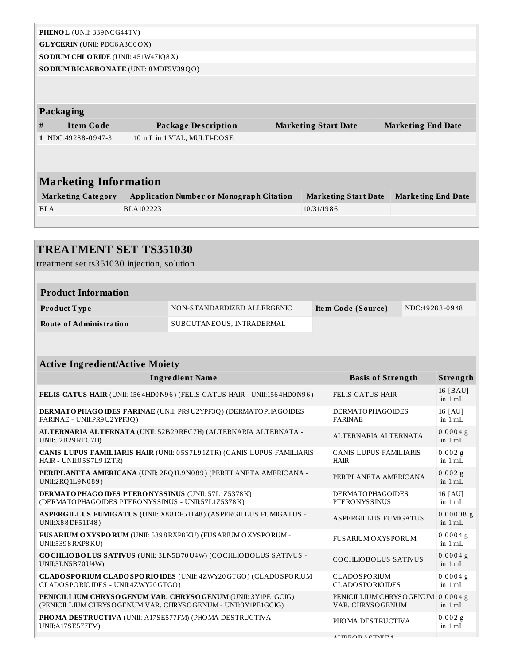| PHENOL (UNII: 339NCG44TV)                  |           |                                                 |  |                             |  |                           |                           |
|--------------------------------------------|-----------|-------------------------------------------------|--|-----------------------------|--|---------------------------|---------------------------|
| <b>GLYCERIN</b> (UNII: PDC6A3C0OX)         |           |                                                 |  |                             |  |                           |                           |
| SO DIUM CHLORIDE (UNII: 451W47IQ8X)        |           |                                                 |  |                             |  |                           |                           |
| SO DIUM BICARBONATE (UNII: 8 MDF5V39QO)    |           |                                                 |  |                             |  |                           |                           |
|                                            |           |                                                 |  |                             |  |                           |                           |
| <b>Packaging</b>                           |           |                                                 |  |                             |  |                           |                           |
| <b>Item Code</b><br>#                      |           | <b>Package Description</b>                      |  | <b>Marketing Start Date</b> |  | <b>Marketing End Date</b> |                           |
| 1 NDC:49288-0947-3                         |           | 10 mL in 1 VIAL, MULTI-DOSE                     |  |                             |  |                           |                           |
|                                            |           |                                                 |  |                             |  |                           |                           |
| <b>Marketing Information</b>               |           |                                                 |  |                             |  |                           |                           |
| <b>Marketing Category</b>                  |           | <b>Application Number or Monograph Citation</b> |  | <b>Marketing Start Date</b> |  |                           | <b>Marketing End Date</b> |
| <b>BLA</b>                                 | BLA102223 |                                                 |  | 10/31/1986                  |  |                           |                           |
|                                            |           |                                                 |  |                             |  |                           |                           |
|                                            |           |                                                 |  |                             |  |                           |                           |
| <b>TREATMENT SET TS351030</b>              |           |                                                 |  |                             |  |                           |                           |
| treatment set ts351030 injection, solution |           |                                                 |  |                             |  |                           |                           |
|                                            |           |                                                 |  |                             |  |                           |                           |
| <b>Product Information</b>                 |           |                                                 |  |                             |  |                           |                           |
| Product Type                               |           | NON-STANDARDIZED ALLERGENIC                     |  | Item Code (Source)          |  |                           | NDC:49288-0948            |
| <b>Route of Administration</b>             |           | SUBCUTANEOUS, INTRADERMAL                       |  |                             |  |                           |                           |
|                                            |           |                                                 |  |                             |  |                           |                           |
| <b>Active Ingredient/Active Moiety</b>     |           |                                                 |  |                             |  |                           |                           |
|                                            |           |                                                 |  |                             |  |                           |                           |

| <b>Ingredient Name</b>                                                                                                         | <b>Basis of Strength</b>                             | Strength                 |
|--------------------------------------------------------------------------------------------------------------------------------|------------------------------------------------------|--------------------------|
| FELIS CATUS HAIR (UNII: 1564HD0N96) (FELIS CATUS HAIR - UNII:1564HD0N96)                                                       | <b>FELIS CATUS HAIR</b>                              | 16 [BAU]<br>in $1 mL$    |
| DERMATO PHAGO IDES FARINAE (UNII: PR9U2YPF3Q) (DERMATO PHAGO IDES<br>FARINAE - UNII: PR9 U2 YPF3Q)                             | <b>DERMATOPHAGOIDES</b><br><b>FARINAE</b>            | 16 [AU]<br>in 1 mL       |
| ALTERNARIA ALTERNATA (UNII: 52B29 REC7H) (ALTERNARIA ALTERNATA -<br>UNII:52B29REC7H)                                           | ALTERNARIA ALTERNATA                                 | 0.0004g<br>in 1 mL       |
| CANIS LUPUS FAMILIARIS HAIR (UNII: 05S7L91ZTR) (CANIS LUPUS FAMILIARIS<br>HAIR - UNII:05S7L91ZTR)                              | <b>CANIS LUPUS FAMILIARIS</b><br><b>HAIR</b>         | 0.002g<br>in $1 mL$      |
| PERIPLANETA AMERICANA (UNII: 2RQ 1L9 N089) (PERIPLANETA AMERICANA -<br>UNII:2RQ1L9N089)                                        | PERIPLANETA AMERICANA                                | 0.002g<br>in 1 mL        |
| DERMATO PHAGO IDES PTERO NYSSINUS (UNII: 57L1Z5378K)<br>(DERMATOPHAGOIDES PTERONYSSINUS - UNII:57L1Z5378K)                     | <b>DERMATOPHAGOIDES</b><br><b>PTERONYSSINUS</b>      | 16 [AU]<br>in 1 mL       |
| ASPERGILLUS FUMIGATUS (UNII: X88DF51T48) (ASPERGILLUS FUMIGATUS -<br>UNII:X88DF51T48)                                          | <b>ASPERGILLUS FUMIGATUS</b>                         | $0.00008$ g<br>in $1 mL$ |
| FUSARIUM O XYSPORUM (UNII: 5398 RXP8 KU) (FUSARIUM O XYSPORUM -<br>UNII:5398 RXP8 KU)                                          | <b>FUS ARIUM O XYS PORUM</b>                         | 0.0004g<br>in 1 mL       |
| COCHLIOBOLUS SATIVUS (UNII: 3LN5B70U4W) (COCHLIOBOLUS SATIVUS -<br>UNII:3LN5B70U4W)                                            | COCHLIOBOLUS SATIVUS                                 | $0.0004$ g<br>in 1 mL    |
| <b>CLADO SPORIUM CLADO SPORIO IDES (UNII: 4ZWY20 GTGO) (CLADO SPORIUM</b><br>CLADOSPORIOIDES - UNII:4ZWY20GTGO)                | <b>CLADOSPORIUM</b><br><b>CLADOSPORIOIDES</b>        | 0.0004g<br>in $1 mL$     |
| PENICIL LIUM CHRYSO GENUM VAR. CHRYSO GENUM (UNII: 3Y1PE1GCIG)<br>(PENICILLIUM CHRYSOGENUM VAR. CHRYSOGENUM - UNII:3Y1PE1GCIG) | PENICILLIUM CHRYSOGENUM 0.0004 g<br>VAR. CHRYSOGENUM | in 1 mL                  |
| PHOMA DESTRUCTIVA (UNII: A17SE577FM) (PHOMA DESTRUCTIVA -<br>UNII:A17SE577FM)                                                  | PHOMA DESTRUCTIVA                                    | $0.002$ g<br>in 1 mL     |
|                                                                                                                                | ATIDPODACHIIR                                        |                          |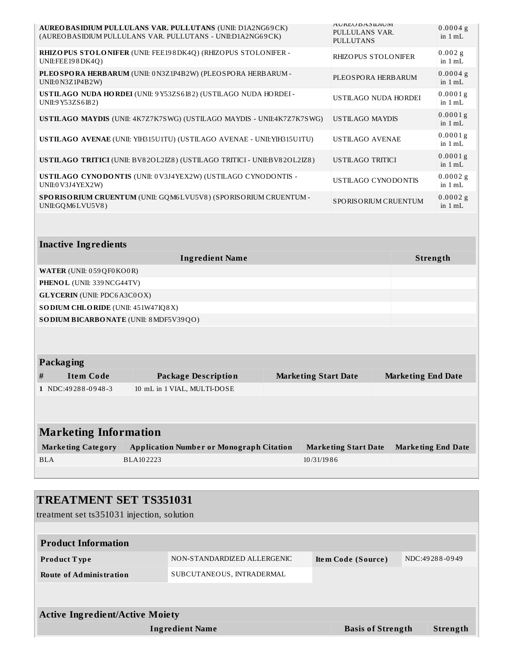| <b>AUREO BASIDIUM PULLULANS VAR. PULLUTANS (UNII: D1A2NG69CK)</b><br>(AUREOBASIDIUM PULLULANS VAR. PULLUTANS - UNII:D1A2NG69CK) | <b>AUKEUDASIDIUM</b><br>PULLULANS VAR.<br><b>PULLUTANS</b> | $0.0004$ g<br>in $1 mL$         |
|---------------------------------------------------------------------------------------------------------------------------------|------------------------------------------------------------|---------------------------------|
| RHIZOPUS STOLONIFER (UNII: FEE198DK4Q) (RHIZOPUS STOLONIFER -<br>UNII:FEE198DK4Q)                                               | <b>RHIZOPUS STOLONIFER</b>                                 | $0.002$ g<br>in $1 mL$          |
| PLEO SPORA HERBARUM (UNII: 0N3Z1P4B2W) (PLEOSPORA HERBARUM -<br>UNII:0 N3Z1P4B2W)                                               | PLEOSPORA HERBARUM                                         | $0.0004$ g<br>in $1 mL$         |
| USTILAGO NUDA HORDEI (UNII: 9Y53ZS6I82) (USTILAGO NUDA HORDEI -<br>UNII:9 Y53ZS6I82)                                            | USTILAGO NUDA HORDEI                                       | 0.0001g<br>in $1 mL$            |
| <b>USTILAGO MAYDIS</b> (UNII: 4K7Z7K7SWG) (USTILAGO MAYDIS - UNII:4K7Z7K7SWG)                                                   | USTILAGO MAYDIS                                            | $0.0001$ g<br>in $1 mL$         |
| USTILAGO AVENAE (UNII: YIH315U1TU) (USTILAGO AVENAE - UNII: YIH315U1TU)                                                         | <b>USTILAGO AVENAE</b>                                     | 0.0001g<br>in $1 mL$            |
| USTILAGO TRITICI (UNII: BV82OL2IZ8) (USTILAGO TRITICI - UNII:BV82OL2IZ8)                                                        | USTILAGO TRITICI                                           | $0.0001$ g<br>in $1 mL$         |
| USTILAGO CYNODONTIS (UNII: 0V3J4YEX2W) (USTILAGO CYNODONTIS -<br>UNII:0 V3J4YEX2W)                                              | USTILAGO CYNODONTIS                                        | $0.0002$ g<br>in $1 \text{ mL}$ |
| SPORISORIUM CRUENTUM (UNII: GQM6LVU5V8) (SPORISORIUM CRUENTUM -<br>UNII:GQM6LVU5V8)                                             | SPORISORIUM CRUENTUM                                       | $0.0002$ g<br>in $1 mL$         |
|                                                                                                                                 |                                                            |                                 |

| <b>Ingredient Name</b>                  | Strength |
|-----------------------------------------|----------|
| <b>WATER</b> (UNII: 059QF0KO0R)         |          |
| <b>PHENOL</b> (UNII: 339 NCG44TV)       |          |
| <b>GLYCERIN</b> (UNII: PDC6A3C0OX)      |          |
| SO DIUM CHLORIDE (UNII: 451W47IQ8X)     |          |
| SO DIUM BICARBONATE (UNII: 8 MDF5V39QO) |          |
|                                         |          |
|                                         |          |

## **Packaging**

| <b>Item Code</b>     | <b>Package Description</b>  | <b>Marketing Start Date</b> | <b>Marketing End Date</b> |
|----------------------|-----------------------------|-----------------------------|---------------------------|
| $1$ NDC:49288-0948-3 | 10 mL in 1 VIAL, MULTI-DOSE |                             |                           |

# **Marketing Information**

| <b>Marketing Category</b> | <b>Application Number or Monograph Citation</b> | Marketing Start Date | Marketing End Date |
|---------------------------|-------------------------------------------------|----------------------|--------------------|
| <b>BLA</b>                | BLA102223                                       | 10/31/1986           |                    |

| <b>TREATMENT SET TS351031</b>              |                             |                          |                |  |
|--------------------------------------------|-----------------------------|--------------------------|----------------|--|
| treatment set ts351031 injection, solution |                             |                          |                |  |
| <b>Product Information</b>                 |                             |                          |                |  |
|                                            |                             |                          |                |  |
| <b>Product Type</b>                        | NON-STANDARDIZED ALLERGENIC | Item Code (Source)       | NDC:49288-0949 |  |
| <b>Route of Administration</b>             | SUBCUTANEOUS, INTRADERMAL   |                          |                |  |
|                                            |                             |                          |                |  |
| <b>Active Ingredient/Active Moiety</b>     |                             |                          |                |  |
|                                            | <b>Ingredient Name</b>      | <b>Basis of Strength</b> | Strength       |  |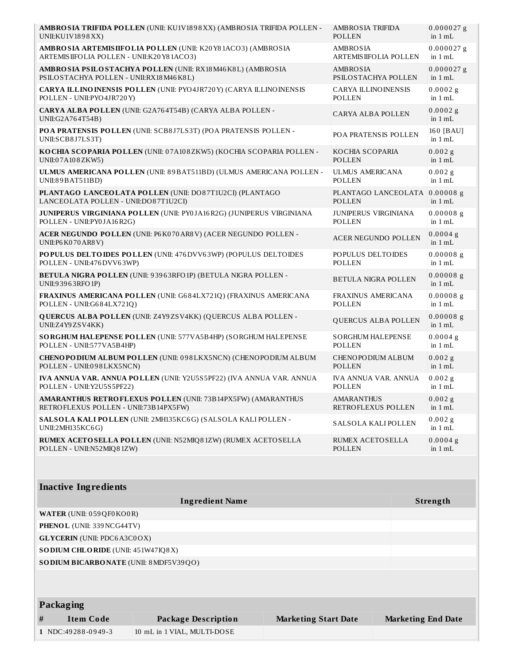| AMBROSIA TRIFIDA POLLEN (UNII: KU1V1898XX) (AMBROSIA TRIFIDA POLLEN -                | AMBROSIA TRIFIDA             | $0.000027$ g             |
|--------------------------------------------------------------------------------------|------------------------------|--------------------------|
| UNII:KU1V1898XX)                                                                     | <b>POLLEN</b>                | in $1 mL$                |
| AMBRO SIA ARTEMISIIFOLIA POLLEN (UNII: K20Y81ACO3) (AMBROSIA                         | AMBROSIA                     | $0.000027$ g             |
| ARTEMISIIFOLIA POLLEN - UNII:K20Y81ACO3)                                             | <b>ARTEMISIIFOLIA POLLEN</b> | in $1 mL$                |
| AMBRO SIA PSILO STACHYA POLLEN (UNII: RX18 M46 K8L) (AMBRO SIA                       | AMBROSIA                     | $0.000027$ g             |
| PSILOSTACHYA POLLEN - UNII:RX18M46K8L)                                               | PSILOSTACHYA POLLEN          | in $1 mL$                |
| CARYA ILLINO INENSIS POLLEN (UNII: PYO4JR720Y) (CARYA ILLINO INENSIS                 | <b>CARYA ILLINOINENSIS</b>   | $0.0002$ g               |
| POLLEN - UNII:PYO4JR720Y)                                                            | <b>POLLEN</b>                | in $1 mL$                |
| CARYA ALBA POLLEN (UNII: G2A764T54B) (CARYA ALBA POLLEN -<br>UNII:G2A764T54B)        | CARYA ALBA POLLEN            | 0.0002g<br>in $1 mL$     |
| POA PRATENSIS POLLEN (UNII: SCB8J7LS3T) (POA PRATENSIS POLLEN -<br>UNII:SCB8J7LS3T)  | POA PRATENSIS POLLEN         | 160 [BAU]<br>in $1 mL$   |
| KOCHIA SCOPARIA POLLEN (UNII: 07A108ZKW5) (KOCHIA SCOPARIA POLLEN -                  | KOCHIA SCOPARIA              | $0.002$ g                |
| UNII:07A108ZKW5)                                                                     | <b>POLLEN</b>                | in $1 mL$                |
| ULMUS AMERICANA POLLEN (UNII: 89BAT511BD) (ULMUS AMERICANA POLLEN -                  | <b>ULMUS AMERICANA</b>       | $0.002$ g                |
| UNII:89BAT511BD)                                                                     | <b>POLLEN</b>                | in $1 mL$                |
| PLANTAGO LANCEOLATA POLLEN (UNII: DO87T1U2CI) (PLANTAGO                              | PLANTAGO LANCEOLATA          | $0.00008$ g              |
| LANCEOLATA POLLEN - UNII:DO87T1U2CI)                                                 | <b>POLLEN</b>                | in $1 mL$                |
| JUNIPERUS VIRGINIANA POLLEN (UNII: PY0JA16R2G) (JUNIPERUS VIRGINIANA                 | <b>JUNIPERUS VIRGINIANA</b>  | $0.00008$ g              |
| POLLEN - UNII:PY0JA16R2G)                                                            | <b>POLLEN</b>                | in $1 mL$                |
| ACER NEGUNDO POLLEN (UNII: P6K070AR8V) (ACER NEGUNDO POLLEN -<br>UNII:P6 K070 AR8 V) | <b>ACER NEGUNDO POLLEN</b>   | $0.0004$ g<br>in $1 mL$  |
| POPULUS DELTOIDES POLLEN (UNII: 476 DVV63WP) (POPULUS DELTOIDES                      | POPULUS DELTOIDES            | $0.00008$ g              |
| POLLEN - UNII:476 DVV63WP)                                                           | <b>POLLEN</b>                | in $1 mL$                |
| BETULA NIGRA POLLEN (UNII: 93963RFO1P) (BETULA NIGRA POLLEN -<br>UNII:93963RFO1P)    | <b>BETULA NIGRA POLLEN</b>   | $0.00008$ g<br>in $1 mL$ |
| FRAXINUS AMERICANA POLLEN (UNII: G684LX721Q) (FRAXINUS AMERICANA                     | <b>FRAXINUS AMERICANA</b>    | $0.00008$ g              |
| POLLEN - UNII:G684LX721Q)                                                            | <b>POLLEN</b>                | in $1 mL$                |
| QUERCUS ALBA POLLEN (UNII: Z4Y9ZSV4KK) (QUERCUS ALBA POLLEN -<br>UNII:Z4Y9ZSV4KK)    | <b>QUERCUS ALBA POLLEN</b>   | $0.00008$ g<br>in $1 mL$ |
| SORGHUM HALEPENSE POLLEN (UNII: 577VA5B4HP) (SORGHUM HALEPENSE                       | <b>SORGHUM HALEPENSE</b>     | $0.0004$ g               |
| POLLEN - UNII:577VA5B4HP)                                                            | <b>POLLEN</b>                | in $1 mL$                |
| CHENOPODIUM ALBUM POLLEN (UNII: 098LKX5NCN) (CHENOPODIUM ALBUM                       | CHENOPODIUM ALBUM            | $0.002$ g                |
| POLLEN - UNII:098LKX5NCN)                                                            | POLLEN                       | in $1 mL$                |
| IVA ANNUA VAR. ANNUA POLLEN (UNII: Y2U5S5PF22) (IVA ANNUA VAR. ANNUA                 | IVA ANNUA VAR. ANNUA         | $0.002$ g                |
| POLLEN - UNII:Y2U5S5PF22)                                                            | POLLEN                       | in $1 mL$                |
| AMARANTHUS RETROFLEXUS POLLEN (UNII: 73B14PX5FW) (AMARANTHUS                         | <b>AMARANTHUS</b>            | $0.002$ g                |
| RETROFLEXUS POLLEN - UNII:73B14PX5FW)                                                | RETROFLEXUS POLLEN           | in $1 mL$                |
| SALSOLA KALI POLLEN (UNII: 2MH135KC6G) (SALSOLA KALI POLLEN -<br>UNII:2MH135KC6G)    | SALSOLA KALI POLLEN          | $0.002$ g<br>in $1 mL$   |
| RUMEX ACETOSELLA POLLEN (UNII: N52MIQ81ZW) (RUMEX ACETOSELLA                         | <b>RUMEX ACETOSELLA</b>      | $0.0004$ g               |
| POLLEN - UNII:N52MIQ81ZW)                                                            | <b>POLLEN</b>                | in $1 mL$                |
|                                                                                      |                              |                          |
| <b>Inactive Ingredients</b>                                                          |                              |                          |
| <b>Ingredient Name</b>                                                               |                              | Strength                 |
| WATER (UNII: 059QF0KO0R)                                                             |                              |                          |
| PHENOL (UNII: 339 NCG44TV)                                                           |                              |                          |
| <b>GLYCERIN</b> (UNII: PDC6A3C0OX)                                                   |                              |                          |
| SODIUM CHLORIDE (UNII: 451W47IQ8X)                                                   |                              |                          |
| SO DIUM BICARBONATE (UNII: 8 MDF5V39QO)                                              |                              |                          |

|   | Packaging          |                             |                             |                           |
|---|--------------------|-----------------------------|-----------------------------|---------------------------|
| # | Item Code          | Package Description         | <b>Marketing Start Date</b> | <b>Marketing End Date</b> |
|   | 1 NDC:49288-0949-3 | 10 mL in 1 VIAL, MULTI-DOSE |                             |                           |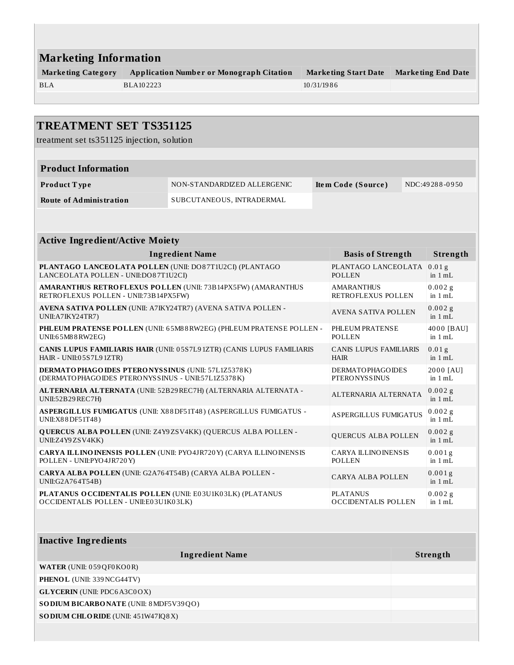| <b>Marketing Information</b>                    |                             |                           |  |  |  |
|-------------------------------------------------|-----------------------------|---------------------------|--|--|--|
| <b>Application Number or Monograph Citation</b> | <b>Marketing Start Date</b> | <b>Marketing End Date</b> |  |  |  |
| BLA102223                                       | 10/31/1986                  |                           |  |  |  |
|                                                 |                             |                           |  |  |  |

| <b>TREATMENT SET TS351125</b>                                                                           |                                                                        |  |                                                 |  |                                |
|---------------------------------------------------------------------------------------------------------|------------------------------------------------------------------------|--|-------------------------------------------------|--|--------------------------------|
| treatment set ts351125 injection, solution                                                              |                                                                        |  |                                                 |  |                                |
|                                                                                                         |                                                                        |  |                                                 |  |                                |
| <b>Product Information</b>                                                                              |                                                                        |  |                                                 |  |                                |
| Product Type                                                                                            | NON-STANDARDIZED ALLERGENIC                                            |  | Item Code (Source)                              |  | NDC:49288-0950                 |
| <b>Route of Administration</b>                                                                          | SUBCUTANEOUS, INTRADERMAL                                              |  |                                                 |  |                                |
|                                                                                                         |                                                                        |  |                                                 |  |                                |
| <b>Active Ingredient/Active Moiety</b>                                                                  |                                                                        |  |                                                 |  |                                |
|                                                                                                         | <b>Ingredient Name</b>                                                 |  | <b>Basis of Strength</b>                        |  | Strength                       |
| PLANTAGO LANCEOLATA POLLEN (UNII: DO87T1U2CI) (PLANTAGO<br>LANCEOLATA POLLEN - UNII:DO87T1U2CI)         |                                                                        |  | PLANTAGO LANCEOLATA<br><b>POLLEN</b>            |  | $0.01$ g<br>in $1 mL$          |
| RETROFLEXUS POLLEN - UNII:73B14PX5FW)                                                                   | <b>AMARANTHUS RETROFLEXUS POLLEN (UNII: 73B14PX5FW) (AMARANTHUS</b>    |  | <b>AMARANTHUS</b><br>RETROFLEXUS POLLEN         |  | 0.002g<br>in $1 mL$            |
| AVENA SATIVA POLLEN (UNII: A7IKY24TR7) (AVENA SATIVA POLLEN -<br>UNII:A7IKY24TR7)                       |                                                                        |  | <b>AVENA SATIVA POLLEN</b>                      |  | $0.002$ g<br>in $1 mL$         |
| UNII:65M88RW2EG)                                                                                        | PHLEUM PRATENSE POLLEN (UNII: 65M88RW2EG) (PHLEUM PRATENSE POLLEN -    |  | PHLEUM PRATENSE<br><b>POLLEN</b>                |  | 4000 [BAU]<br>in $1 mL$        |
| HAIR - UNII:05S7L91ZTR)                                                                                 | CANIS LUPUS FAMILIARIS HAIR (UNII: 05S7L91ZTR) (CANIS LUPUS FAMILIARIS |  | <b>CANIS LUPUS FAMILIARIS</b><br><b>HAIR</b>    |  | 0.01 <sub>g</sub><br>in $1 mL$ |
| DERMATOPHAGOIDES PTERONYSSINUS (UNII: 57L1Z5378K)<br>(DERMATOPHAGOIDES PTERONYSSINUS - UNII:57L1Z5378K) |                                                                        |  | <b>DERMATOPHAGOIDES</b><br><b>PTERONYSSINUS</b> |  | 2000 [AU]<br>in $1 mL$         |
| UNII:52B29REC7H)                                                                                        | ALTERNARIA ALTERNATA (UNII: 52B29 REC7H) (ALTERNARIA ALTERNATA -       |  | ALTERNARIA ALTERNATA                            |  | $0.002$ g<br>in $1 mL$         |
| UNII:X88DF51T48)                                                                                        | ASPERGILLUS FUMIGATUS (UNII: X88DF51T48) (ASPERGILLUS FUMIGATUS -      |  | <b>ASPERGILLUS FUMIGATUS</b>                    |  | $0.002$ g<br>in $1 mL$         |
| UNII:Z4Y9ZSV4KK)                                                                                        | <b>QUERCUS ALBA POLLEN (UNII: Z4Y9ZSV4KK) (QUERCUS ALBA POLLEN -</b>   |  | QUERCUS ALBA POLLEN                             |  | $0.002$ g<br>in $1 mL$         |
| POLLEN - UNII: PYO4JR720Y)                                                                              | CARYA ILLINO INENSIS POLLEN (UNII: PYO4JR720Y) (CARYA ILLINOINENSIS    |  | <b>CARYA ILLINO INENSIS</b><br><b>POLLEN</b>    |  | 0.001g<br>in $1 mL$            |
| CARYA ALBA POLLEN (UNII: G2A764T54B) (CARYA ALBA POLLEN -<br>UNII:G2A764T54B)                           |                                                                        |  | <b>CARYA ALBA POLLEN</b>                        |  | $0.001$ g<br>in $1 \text{ mL}$ |
| PLATANUS O CCIDENTALIS POLLEN (UNII: E03U1K03LK) (PLATANUS<br>OCCIDENTALIS POLLEN - UNII:E03U1K03LK)    |                                                                        |  | PLATANUS<br><b>OCCIDENTALIS POLLEN</b>          |  | $0.002$ g<br>in $1 mL$         |

| <b>Inactive Ingredients</b>             |          |
|-----------------------------------------|----------|
| <b>Ingredient Name</b>                  | Strength |
| <b>WATER</b> (UNII: 059 QF0 KO0 R)      |          |
| <b>PHENOL</b> (UNII: 339 NCG44TV)       |          |
| <b>GLYCERIN</b> (UNII: PDC6A3C0OX)      |          |
| SO DIUM BICARBONATE (UNII: 8 MDF5V39QO) |          |
| SO DIUM CHLORIDE (UNII: 451W47IQ8X)     |          |
|                                         |          |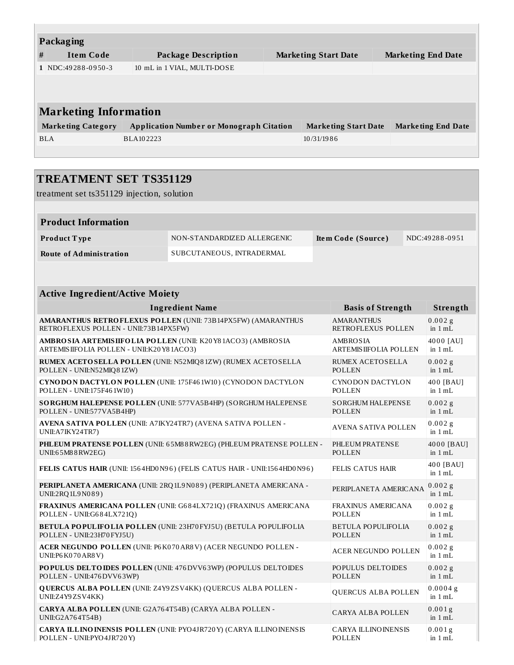| Packaging                    |                                                 |  |                             |                           |  |  |  |  |
|------------------------------|-------------------------------------------------|--|-----------------------------|---------------------------|--|--|--|--|
| #<br><b>Item Code</b>        | Package Description                             |  | <b>Marketing Start Date</b> | <b>Marketing End Date</b> |  |  |  |  |
| 1 NDC:49288-0950-3           | 10 mL in 1 VIAL, MULTI-DOSE                     |  |                             |                           |  |  |  |  |
|                              |                                                 |  |                             |                           |  |  |  |  |
|                              |                                                 |  |                             |                           |  |  |  |  |
| <b>Marketing Information</b> |                                                 |  |                             |                           |  |  |  |  |
| <b>Marketing Category</b>    | <b>Application Number or Monograph Citation</b> |  | <b>Marketing Start Date</b> | <b>Marketing End Date</b> |  |  |  |  |
| <b>BLA</b>                   | <b>BLA102223</b>                                |  | 10/31/1986                  |                           |  |  |  |  |
|                              |                                                 |  |                             |                           |  |  |  |  |

|                                                                                                                 | <b>TREATMENT SET TS351129</b>                                            |  |                                                  |  |                         |  |
|-----------------------------------------------------------------------------------------------------------------|--------------------------------------------------------------------------|--|--------------------------------------------------|--|-------------------------|--|
| treatment set ts351129 injection, solution                                                                      |                                                                          |  |                                                  |  |                         |  |
|                                                                                                                 |                                                                          |  |                                                  |  |                         |  |
| <b>Product Information</b>                                                                                      |                                                                          |  |                                                  |  |                         |  |
| Product Type                                                                                                    | NON-STANDARDIZED ALLERGENIC                                              |  | Item Code (Source)                               |  | NDC:49288-0951          |  |
| <b>Route of Administration</b>                                                                                  | SUBCUTANEOUS, INTRADERMAL                                                |  |                                                  |  |                         |  |
|                                                                                                                 |                                                                          |  |                                                  |  |                         |  |
| <b>Active Ingredient/Active Moiety</b>                                                                          |                                                                          |  |                                                  |  |                         |  |
|                                                                                                                 | <b>Ingredient Name</b>                                                   |  | <b>Basis of Strength</b>                         |  | Strength                |  |
| RETROFLEXUS POLLEN - UNII:73B14PX5FW)                                                                           | <b>AMARANTHUS RETROFLEXUS POLLEN (UNII: 73B14PX5FW) (AMARANTHUS</b>      |  | <b>AMARANTHUS</b><br>RETROFLEXUS POLLEN          |  | $0.002$ g<br>in $1 mL$  |  |
| AMBROSIA ARTEMISIIFOLIA POLLEN (UNII: K20 Y81ACO3) (AMBROSIA<br>ARTEMISIIFOLIA POLLEN - UNII:K20Y81ACO3)        |                                                                          |  | <b>AMBROSIA</b><br><b>ARTEMIS IIFOLIA POLLEN</b> |  | 4000 [AU]<br>in $1 mL$  |  |
| POLLEN - UNII:N52MIQ81ZW)                                                                                       | RUMEX ACETOSELLA POLLEN (UNII: N52MIQ81ZW) (RUMEX ACETOSELLA             |  | <b>RUMEX ACETOSELLA</b><br>POLLEN                |  | $0.002$ g<br>in $1 mL$  |  |
| POLLEN - UNII:175F461W10)                                                                                       | CYNODON DACTYLON POLLEN (UNII: 175F461W10) (CYNODON DACTYLON             |  | <b>CYNODON DACTYLON</b><br>POLLEN                |  | 400 [BAU]<br>in $1 mL$  |  |
| POLLEN - UNII:577VA5B4HP)                                                                                       | SORGHUM HALEPENSE POLLEN (UNII: 577VA5B4HP) (SORGHUM HALEPENSE           |  | <b>SORGHUM HALEPENSE</b><br><b>POLLEN</b>        |  | $0.002$ g<br>in $1 mL$  |  |
| AVENA SATIVA POLLEN (UNII: A7IKY24TR7) (AVENA SATIVA POLLEN -<br>UNII: A7IKY24TR7)                              |                                                                          |  | <b>AVENA SATIVA POLLEN</b>                       |  | $0.002$ g<br>in $1 mL$  |  |
| UNII:65M88RW2EG)                                                                                                | PHLEUM PRATENSE POLLEN (UNII: 65M88RW2EG) (PHLEUM PRATENSE POLLEN -      |  | PHLEUM PRATENSE<br><b>POLLEN</b>                 |  | 4000 [BAU]<br>in $1 mL$ |  |
|                                                                                                                 | FELIS CATUS HAIR (UNII: 1564HD0N96) (FELIS CATUS HAIR - UNII:1564HD0N96) |  | <b>FELIS CATUS HAIR</b>                          |  | 400 [BAU]<br>in $1 mL$  |  |
| UNII:2RQ1L9N089)                                                                                                | PERIPLANETA AMERICANA (UNII: 2RQ1L9N089) (PERIPLANETA AMERICANA -        |  | PERIPLANETA AMERICANA                            |  | $0.002$ g<br>in 1 mL    |  |
| POLLEN - UNII:G684LX721Q)                                                                                       | FRAXINUS AMERICANA POLLEN (UNII: G684LX721Q) (FRAXINUS AMERICANA         |  | FRAXINUS AMERICANA<br><b>POLLEN</b>              |  | $0.002$ g<br>in 1 mL    |  |
| POLLEN - UNII:23H70 FYJ5U)                                                                                      | <b>BETULA POPULIFOLIA POLLEN (UNII: 23H70 FYJ5U) (BETULA POPULIFOLIA</b> |  | <b>BETULA POPULIFOLIA</b><br><b>POLLEN</b>       |  | $0.002$ g<br>in $1 mL$  |  |
| UNII:P6 K070 AR8 V)                                                                                             | ACER NEGUNDO POLLEN (UNII: P6K070AR8V) (ACER NEGUNDO POLLEN -            |  | <b>ACER NEGUNDO POLLEN</b>                       |  | 0.002 g<br>in $1 mL$    |  |
| POPULUS DELTOIDES POLLEN (UNII: 476 DVV63WP) (POPULUS DELTOIDES<br>POLLEN - UNII:476 DVV63WP)                   |                                                                          |  | POPULUS DELTOIDES<br><b>POLLEN</b>               |  | $0.002$ g<br>in $1$ mL  |  |
| <b>QUERCUS ALBA POLLEN (UNII: Z4Y9ZSV4KK) (QUERCUS ALBA POLLEN -</b><br>QUERCUS ALBA POLLEN<br>UNII:Z4Y9ZSV4KK) |                                                                          |  |                                                  |  | $0.0004$ g<br>in $1 mL$ |  |
| CARYA ALBA POLLEN (UNII: G2A764T54B) (CARYA ALBA POLLEN -<br>UNII:G2A764T54B)                                   |                                                                          |  | CARYA ALBA POLLEN                                |  | 0.001g<br>in $1$ mL     |  |
| POLLEN - UNII:PYO4JR720Y)                                                                                       | CARYA ILLINO INENSIS POLLEN (UNII: PYO4JR720Y) (CARYA ILLINO INENSIS     |  | <b>CARYA ILLINO INENSIS</b><br>POLLEN            |  | 0.001g<br>in $1 mL$     |  |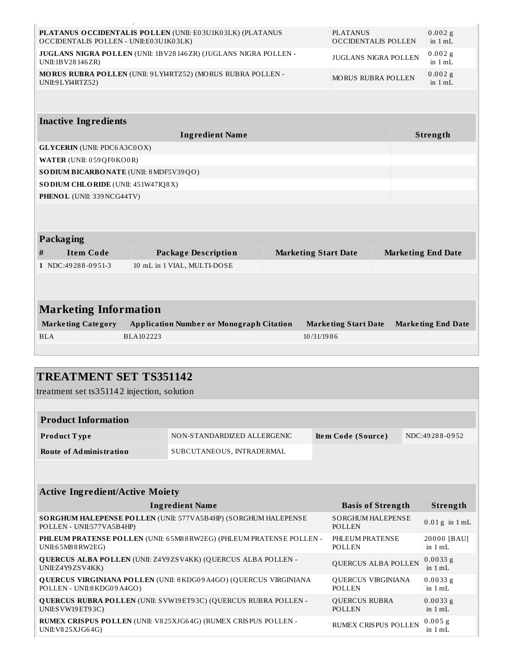| PLATANUS OCCIDENTALIS POLLEN (UNII: E03U1K03LK) (PLATANUS<br><b>PLATANUS</b><br><b>OCCIDENTALIS POLLEN</b><br>OCCIDENTALIS POLLEN - UNII:E03U1K03LK) |                                                             |  |                             |                           | $0.002$ g<br>in $1$ mL    |
|------------------------------------------------------------------------------------------------------------------------------------------------------|-------------------------------------------------------------|--|-----------------------------|---------------------------|---------------------------|
| JUGLANS NIGRA POLLEN (UNII: 1BV28146ZR) (JUGLANS NIGRA POLLEN -<br>JUGLANS NIGRA POLLEN<br>UNII:1BV28146ZR)                                          |                                                             |  |                             |                           | 0.002g<br>in 1 mL         |
| UNII:9 LYI4RTZ52)                                                                                                                                    | MORUS RUBRA POLLEN (UNII: 9LYI4RTZ52) (MORUS RUBRA POLLEN - |  |                             | <b>MORUS RUBRA POLLEN</b> | $0.002$ g<br>in $1 mL$    |
|                                                                                                                                                      |                                                             |  |                             |                           |                           |
| <b>Inactive Ingredients</b>                                                                                                                          |                                                             |  |                             |                           |                           |
|                                                                                                                                                      | <b>Ingredient Name</b>                                      |  |                             |                           | Strength                  |
| <b>GLYCERIN</b> (UNII: PDC6A3C0OX)                                                                                                                   |                                                             |  |                             |                           |                           |
| WATER (UNII: 059 QF0 KO0 R)                                                                                                                          |                                                             |  |                             |                           |                           |
| SODIUM BICARBONATE (UNII: 8 MDF5V39QO)                                                                                                               |                                                             |  |                             |                           |                           |
| SO DIUM CHLORIDE (UNII: 451W47IQ8X)                                                                                                                  |                                                             |  |                             |                           |                           |
| PHENOL (UNII: 339 NCG44TV)                                                                                                                           |                                                             |  |                             |                           |                           |
|                                                                                                                                                      |                                                             |  |                             |                           |                           |
| Packaging                                                                                                                                            |                                                             |  |                             |                           |                           |
| <b>Item Code</b><br>$\#$                                                                                                                             | <b>Package Description</b>                                  |  | <b>Marketing Start Date</b> |                           | <b>Marketing End Date</b> |
| 1 NDC:49288-0951-3                                                                                                                                   | 10 mL in 1 VIAL, MULTI-DOSE                                 |  |                             |                           |                           |
|                                                                                                                                                      |                                                             |  |                             |                           |                           |
|                                                                                                                                                      |                                                             |  |                             |                           |                           |
| <b>Marketing Information</b>                                                                                                                         |                                                             |  |                             |                           |                           |
| <b>Marketing Category</b>                                                                                                                            | <b>Application Number or Monograph Citation</b>             |  | <b>Marketing Start Date</b> |                           | <b>Marketing End Date</b> |
| <b>BLA</b>                                                                                                                                           | BLA102223                                                   |  | 10/31/1986                  |                           |                           |
|                                                                                                                                                      |                                                             |  |                             |                           |                           |
|                                                                                                                                                      |                                                             |  |                             |                           |                           |
| TDE ATMENT CET TC251142                                                                                                                              |                                                             |  |                             |                           |                           |

| <b>TREATMENT SET TS351142</b>              |                                                                         |  |                                           |  |                         |  |
|--------------------------------------------|-------------------------------------------------------------------------|--|-------------------------------------------|--|-------------------------|--|
| treatment set ts351142 injection, solution |                                                                         |  |                                           |  |                         |  |
|                                            |                                                                         |  |                                           |  |                         |  |
| <b>Product Information</b>                 |                                                                         |  |                                           |  |                         |  |
| Product Type                               | NON-STANDARDIZED ALLERGENIC                                             |  | Item Code (Source)                        |  | NDC:49288-0952          |  |
| <b>Route of Administration</b>             | SUBCUTANEOUS, INTRADERMAL                                               |  |                                           |  |                         |  |
|                                            |                                                                         |  |                                           |  |                         |  |
|                                            |                                                                         |  |                                           |  |                         |  |
| <b>Active Ingredient/Active Moiety</b>     |                                                                         |  |                                           |  |                         |  |
|                                            | <b>Ingredient Name</b>                                                  |  | <b>Basis of Strength</b>                  |  | Strength                |  |
| POLLEN - UNII:577VA5B4HP)                  | SORGHUM HALEPENSE POLLEN (UNII: 577VA5B4HP) (SORGHUM HALEPENSE          |  | <b>SORGHUM HALEPENSE</b><br><b>POLLEN</b> |  | $0.01$ g in $1$ mL      |  |
| UNII:65M88RW2EG)                           | PHLEUM PRATENSE POLLEN (UNII: 65M88RW2EG) (PHLEUM PRATENSE POLLEN -     |  | PHLEUM PRATENSE<br><b>POLLEN</b>          |  | 20000 [BAU]<br>in 1 mL  |  |
| UNII:Z4Y9ZSV4KK)                           | <b>QUERCUS ALBA POLLEN (UNII: Z4Y9ZSV4KK) (QUERCUS ALBA POLLEN -</b>    |  | QUERCUS ALBA POLLEN                       |  | $0.0033$ g<br>in $1 mL$ |  |
| POLLEN - UNII:8 KDG09 A4GO)                | <b>QUERCUS VIRGINIANA POLLEN (UNII: 8KDG09A4GO) (QUERCUS VIRGINIANA</b> |  | QUERCUS VIRGINIANA<br><b>POLLEN</b>       |  | $0.0033$ g<br>in $1 mL$ |  |
| UNII:S VW19 ET93C)                         | QUERCUS RUBRA POLLEN (UNII: SVW19ET93C) (QUERCUS RUBRA POLLEN -         |  | <b>QUERCUS RUBRA</b><br><b>POLLEN</b>     |  | $0.0033$ g<br>in $1 mL$ |  |
| UNII: V825XJG64G)                          | RUMEX CRISPUS POLLEN (UNII: V825XJG64G) (RUMEX CRISPUS POLLEN -         |  | <b>RUMEX CRISPUS POLLEN</b>               |  | 0.005g<br>in $1 mL$     |  |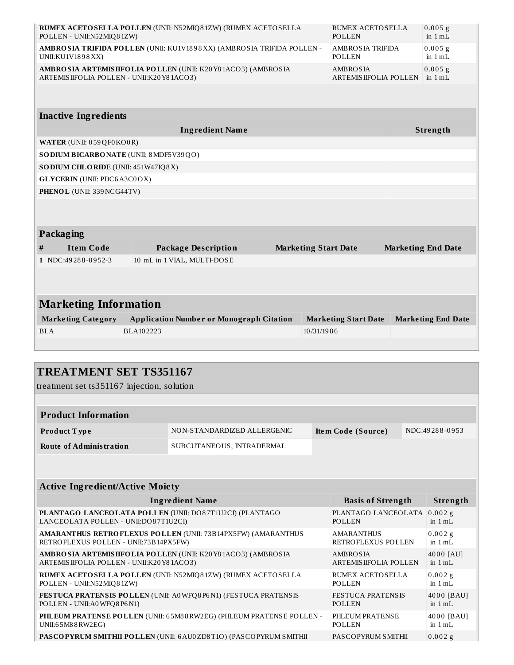| POLLEN - UNII:N52MIQ81ZW)                | RUMEX ACETOSELLA POLLEN (UNII: N52MIQ81ZW) (RUMEX ACETOSELLA          |                             | <b>RUMEX ACETOSELLA</b><br><b>POLLEN</b>         |  | $0.005$ g<br>in 1 mL      |  |
|------------------------------------------|-----------------------------------------------------------------------|-----------------------------|--------------------------------------------------|--|---------------------------|--|
| UNII:KU1V1898XX)                         | AMBROSIA TRIFIDA POLLEN (UNII: KU1V1898XX) (AMBROSIA TRIFIDA POLLEN - |                             | <b>AMBROSIA TRIFIDA</b><br><b>POLLEN</b>         |  | 0.005 g<br>in 1 mL        |  |
| ARTEMISIIFOLIA POLLEN - UNII:K20Y81ACO3) | AMBRO SIA ARTEMISIIFOLIA POLLEN (UNII: K20Y81ACO3) (AMBROSIA          |                             | <b>AMBROSIA</b><br><b>ARTEMIS IIFOLIA POLLEN</b> |  | 0.005g<br>in 1 mL         |  |
|                                          |                                                                       |                             |                                                  |  |                           |  |
| <b>Inactive Ingredients</b>              |                                                                       |                             |                                                  |  |                           |  |
|                                          | <b>Ingredient Name</b>                                                |                             |                                                  |  | Strength                  |  |
| WATER (UNII: 059 QF0 KO0 R)              |                                                                       |                             |                                                  |  |                           |  |
| SO DIUM BICARBONATE (UNII: 8 MDF5V39QO)  |                                                                       |                             |                                                  |  |                           |  |
| SODIUM CHLORIDE (UNII: 451W47IQ8X)       |                                                                       |                             |                                                  |  |                           |  |
| <b>GLYCERIN</b> (UNII: PDC6A3C0OX)       |                                                                       |                             |                                                  |  |                           |  |
| PHENOL (UNII: 339 NCG44TV)               |                                                                       |                             |                                                  |  |                           |  |
|                                          |                                                                       |                             |                                                  |  |                           |  |
| Packaging                                |                                                                       |                             |                                                  |  |                           |  |
| <b>Item Code</b><br>#                    | <b>Package Description</b>                                            | <b>Marketing Start Date</b> |                                                  |  | <b>Marketing End Date</b> |  |
| 1 NDC:49288-0952-3                       | 10 mL in 1 VIAL, MULTI-DOSE                                           |                             |                                                  |  |                           |  |
|                                          |                                                                       |                             |                                                  |  |                           |  |
| <b>Marketing Information</b>             |                                                                       |                             |                                                  |  |                           |  |
| <b>Marketing Category</b>                | <b>Application Number or Monograph Citation</b>                       |                             | <b>Marketing Start Date</b>                      |  | <b>Marketing End Date</b> |  |
| BLA                                      | BLA102223                                                             | 10/31/1986                  |                                                  |  |                           |  |
|                                          |                                                                       |                             |                                                  |  |                           |  |

| <b>TREATMENT SET TS351167</b>                                                                           |                                                                     |  |                                                  |  |                         |  |
|---------------------------------------------------------------------------------------------------------|---------------------------------------------------------------------|--|--------------------------------------------------|--|-------------------------|--|
| treatment set ts351167 injection, solution                                                              |                                                                     |  |                                                  |  |                         |  |
|                                                                                                         |                                                                     |  |                                                  |  |                         |  |
| <b>Product Information</b>                                                                              |                                                                     |  |                                                  |  |                         |  |
| <b>Product Type</b>                                                                                     | NON-STANDARDIZED ALLERGENIC                                         |  | Item Code (Source)                               |  | NDC:49288-0953          |  |
| <b>Route of Administration</b>                                                                          | SUBCUTANEOUS, INTRADERMAL                                           |  |                                                  |  |                         |  |
|                                                                                                         |                                                                     |  |                                                  |  |                         |  |
|                                                                                                         |                                                                     |  |                                                  |  |                         |  |
| <b>Active Ingredient/Active Moiety</b>                                                                  |                                                                     |  |                                                  |  |                         |  |
|                                                                                                         | <b>Ingredient Name</b>                                              |  | <b>Basis of Strength</b>                         |  | Strength                |  |
| PLANTAGO LANCEOLATA POLLEN (UNII: DO87T1U2CI) (PLANTAGO<br>LANCEOLATA POLLEN - UNII:DO87T1U2CI)         |                                                                     |  | PLANTAGO LANCEOLATA<br><b>POLLEN</b>             |  | $0.002$ g<br>in $1 mL$  |  |
| RETROFLEXUS POLLEN - UNII:73B14PX5FW)                                                                   | <b>AMARANTHUS RETROFLEXUS POLLEN (UNII: 73B14PX5FW) (AMARANTHUS</b> |  | <b>AMARANTHUS</b><br>RETROFLEXUS POLLEN          |  | 0.002g<br>in $1 mL$     |  |
| AMBROSIA ARTEMISIIFOLIA POLLEN (UNII: K20Y81ACO3) (AMBROSIA<br>ARTEMISIIFOLIA POLLEN - UNII:K20Y81ACO3) |                                                                     |  | <b>AMBROSIA</b><br><b>ARTEMIS IIFOLIA POLLEN</b> |  | 4000 [AU]<br>in $1 mL$  |  |
| POLLEN - UNII:N52MIQ81ZW)                                                                               | RUMEX ACETOSELLA POLLEN (UNII: N52MIQ81ZW) (RUMEX ACETOSELLA        |  | <b>RUMEX ACETOSELLA</b><br><b>POLLEN</b>         |  | $0.002$ g<br>in $1 mL$  |  |
| POLLEN - UNII:A0WFQ8P6N1)                                                                               | FESTUCA PRATENSIS POLLEN (UNII: A0WFQ8P6N1) (FESTUCA PRATENSIS      |  | <b>FESTUCA PRATENSIS</b><br><b>POLLEN</b>        |  | 4000 [BAU]<br>in $1 mL$ |  |
| UNII:65M88RW2EG)                                                                                        | PHLEUM PRATENSE POLLEN (UNII: 65M88RW2EG) (PHLEUM PRATENSE POLLEN - |  | PHLEUM PRATENSE<br><b>POLLEN</b>                 |  | 4000 [BAU]<br>in $1 mL$ |  |
|                                                                                                         | PASCOPYRUM SMITHII POLLEN (UNII: 6 AU0 ZD8 T10) (PASCOPYRUM SMITHII |  | <b>PASCOPYRUM SMITHII</b>                        |  | $0.002$ g               |  |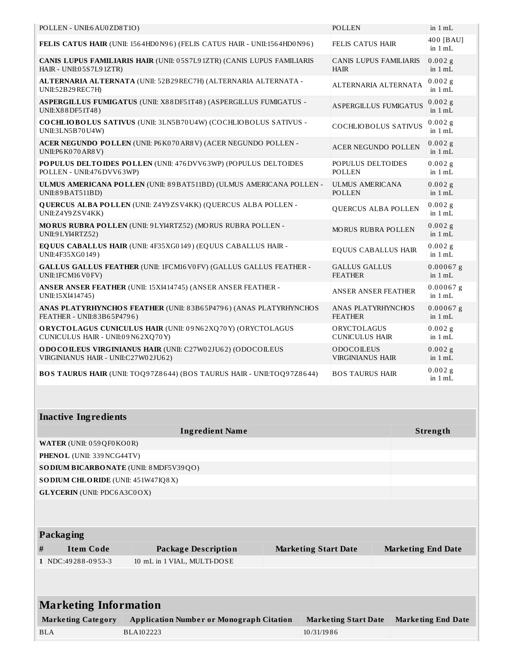| POLLEN - UNII:6 AU0 ZD8T1O)                                                                       | POLLEN                                       |          | in $1 mL$                |
|---------------------------------------------------------------------------------------------------|----------------------------------------------|----------|--------------------------|
| FELIS CATUS HAIR (UNII: 1564HD0N96) (FELIS CATUS HAIR - UNII:1564HD0N96)                          | <b>FELIS CATUS HAIR</b>                      |          | 400 [BAU]<br>in $1 mL$   |
| CANIS LUPUS FAMILIARIS HAIR (UNII: 05S7L91ZTR) (CANIS LUPUS FAMILIARIS<br>HAIR - UNII:05S7L91ZTR) | <b>CANIS LUPUS FAMILIARIS</b><br><b>HAIR</b> |          | $0.002$ g<br>in $1 mL$   |
| ALTERNARIA ALTERNATA (UNII: 52B29 REC7H) (ALTERNARIA ALTERNATA -<br>UNII:52B29REC7H)              | ALTERNARIA ALTERNATA                         |          | $0.002$ g<br>in $1 mL$   |
| ASPERGILLUS FUMIGATUS (UNII: X88DF51T48) (ASPERGILLUS FUMIGATUS -<br>UNII:X88DF51T48)             | ASPERGILLUS FUMIGATUS                        |          | $0.002$ g<br>in $1 mL$   |
| COCHLIOBOLUS SATIVUS (UNII: 3LN5B70U4W) (COCHLIOBOLUS SATIVUS -<br>UNII:3LN5B70U4W)               | <b>COCHLIOBOLUS SATIVUS</b>                  |          | $0.002$ g<br>in $1 mL$   |
| ACER NEGUNDO POLLEN (UNII: P6K070AR8V) (ACER NEGUNDO POLLEN -<br>UNII:P6 K070 AR8 V)              | <b>ACER NEGUNDO POLLEN</b>                   |          | $0.002$ g<br>in $1 mL$   |
| POPULUS DELTOIDES POLLEN (UNII: 476 DVV63WP) (POPULUS DELTOIDES<br>POLLEN - UNII:476 DVV63WP)     | POPULUS DELTOIDES<br><b>POLLEN</b>           |          | $0.002$ g<br>in $1 mL$   |
| ULMUS AMERICANA POLLEN (UNII: 89 BAT511BD) (ULMUS AMERICANA POLLEN -<br>UNII:89 BAT511BD)         | <b>ULMUS AMERICANA</b><br><b>POLLEN</b>      |          | $0.002$ g<br>in $1 mL$   |
| <b>QUERCUS ALBA POLLEN (UNII: Z4Y9ZSV4KK) (QUERCUS ALBA POLLEN -</b><br>UNII:Z4Y9ZSV4KK)          | <b>QUERCUS ALBA POLLEN</b>                   |          | $0.002$ g<br>in $1 mL$   |
| MORUS RUBRA POLLEN (UNII: 9LYI4RTZ52) (MORUS RUBRA POLLEN -<br>UNII:9 LYI4RTZ52)                  | <b>MORUS RUBRA POLLEN</b>                    |          | $0.002$ g<br>in $1 mL$   |
| EQUUS CABALLUS HAIR (UNII: 4F35XG0149) (EQUUS CABALLUS HAIR -<br>UNII:4F35XG0149)                 | <b>EQUUS CABALLUS HAIR</b>                   |          | $0.002$ g<br>in $1 mL$   |
| GALLUS GALLUS FEATHER (UNII: 1FCM16V0FV) (GALLUS GALLUS FEATHER -<br>UNII:1FCM16V0FV)             | <b>GALLUS GALLUS</b><br><b>FEATHER</b>       |          | $0.00067$ g<br>in $1 mL$ |
| ANSER ANSER FEATHER (UNII: 15XI414745) (ANSER ANSER FEATHER -<br>UNII:15XI414745)                 | <b>ANSER ANSER FEATHER</b>                   |          | $0.00067$ g<br>in $1 mL$ |
| ANAS PLATYRHYNCHOS FEATHER (UNII: 83B65P4796) (ANAS PLATYRHYNCHOS<br>FEATHER - UNII:83B65P4796)   | ANAS PLATYRHYNCHOS<br><b>FEATHER</b>         |          | $0.00067$ g<br>in $1 mL$ |
| ORYCTOLAGUS CUNICULUS HAIR (UNII: 09N62XQ70Y) (ORYCTOLAGUS<br>CUNICULUS HAIR - UNII:09N62XQ70Y)   | ORYCTOLAGUS<br><b>CUNICULUS HAIR</b>         |          | $0.002$ g<br>in $1 mL$   |
| ODOCOILEUS VIRGINIANUS HAIR (UNII: C27W02JU62) (ODOCOILEUS<br>VIRGINIANUS HAIR - UNII:C27W02JU62) | ODOCOLEUS<br><b>VIRGINIANUS HAIR</b>         |          | $0.002$ g<br>in $1 mL$   |
| BOS TAURUS HAIR (UNII: TOQ97Z8644) (BOS TAURUS HAIR - UNII:TOQ97Z8644)                            | <b>BOS TAURUS HAIR</b>                       |          | $0.002$ g<br>in $1 mL$   |
|                                                                                                   |                                              |          |                          |
| <b>Inactive Ingredients</b>                                                                       |                                              |          |                          |
| <b>Ingredient Name</b>                                                                            |                                              | Strength |                          |
| WATER (UNII: 059 QF0 KO0 R)                                                                       |                                              |          |                          |
| PHENOL (UNII: 339 NCG44TV)                                                                        |                                              |          |                          |
| SO DIUM BICARBONATE (UNII: 8 MDF5V39QO)                                                           |                                              |          |                          |

**SODIUM CHLORIDE** (UNII: 451W47IQ8X)

**GLYCERIN** (UNII: PDC6A3C0OX)

|  | <b>Packaging</b> |
|--|------------------|
|  |                  |

| # | .<br>Item Code     | <b>Package Description</b>  | <b>Marketing Start Date</b> | <b>Marketing End Date</b> |
|---|--------------------|-----------------------------|-----------------------------|---------------------------|
|   | 1 NDC:49288-0953-3 | 10 mL in 1 VIAL, MULTI-DOSE |                             |                           |

| <b>Marketing Information</b> |                                                 |                             |                           |  |  |  |  |
|------------------------------|-------------------------------------------------|-----------------------------|---------------------------|--|--|--|--|
| <b>Marketing Category</b>    | <b>Application Number or Monograph Citation</b> | <b>Marketing Start Date</b> | <b>Marketing End Date</b> |  |  |  |  |
| BLA                          | BLA102223                                       | 10/31/1986                  |                           |  |  |  |  |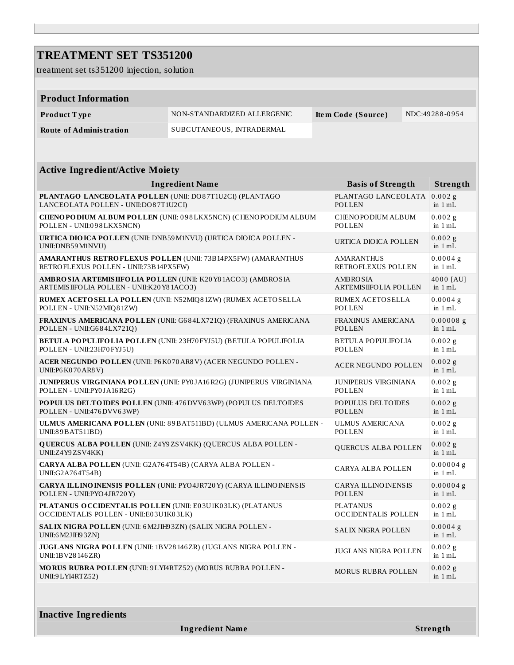| <b>TREATMENT SET TS351200</b>                                                                            |                                                                            |                                              |                                    |
|----------------------------------------------------------------------------------------------------------|----------------------------------------------------------------------------|----------------------------------------------|------------------------------------|
| treatment set ts351200 injection, solution                                                               |                                                                            |                                              |                                    |
|                                                                                                          |                                                                            |                                              |                                    |
| <b>Product Information</b>                                                                               |                                                                            |                                              |                                    |
| Product Type                                                                                             | NON-STANDARDIZED ALLERGENIC                                                | Item Code (Source)                           | NDC:49288-0954                     |
| <b>Route of Administration</b>                                                                           | SUBCUTANEOUS, INTRADERMAL                                                  |                                              |                                    |
|                                                                                                          |                                                                            |                                              |                                    |
|                                                                                                          |                                                                            |                                              |                                    |
| <b>Active Ingredient/Active Moiety</b>                                                                   |                                                                            |                                              |                                    |
|                                                                                                          | <b>Ingredient Name</b>                                                     | <b>Basis of Strength</b>                     | Strength                           |
| PLANTAGO LANCEOLATA POLLEN (UNII: DO87T1U2CI) (PLANTAGO<br>LANCEOLATA POLLEN - UNII:DO87T1U2CI)          |                                                                            | PLANTAGO LANCEOLATA<br><b>POLLEN</b>         | $0.002$ g<br>in $1 mL$             |
| POLLEN - UNII:098LKX5NCN)                                                                                | <b>CHENOPODIUM ALBUM POLLEN (UNII: 098LKX5NCN) (CHENOPODIUM ALBUM</b>      | CHENOPODIUM ALBUM<br>POLLEN                  | $0.002$ g<br>in $1 mL$             |
| UNII:DNB59 M1NVU)                                                                                        | <b>URTICA DIO ICA POLLEN (UNII: DNB59 M1NVU) (URTICA DIO ICA POLLEN -</b>  | URTICA DIOICA POLLEN                         | $0.002$ g<br>in $1 mL$             |
| RETROFLEXUS POLLEN - UNII:73B14PX5FW)                                                                    | <b>AMARANTHUS RETROFLEXUS POLLEN (UNII: 73B14PX5FW) (AMARANTHUS</b>        | <b>AMARANTHUS</b><br>RETROFLEXUS POLLEN      | $0.0004$ g<br>in $1 mL$            |
| AMBRO SIA ARTEMISIIFOLIA POLLEN (UNII: K20Y81ACO3) (AMBROSIA<br>ARTEMISIIFOLIA POLLEN - UNII:K20Y81ACO3) |                                                                            | AMBROSIA<br><b>ARTEMISIIFOLIA POLLEN</b>     | 4000 [AU]<br>in $1 mL$             |
| POLLEN - UNII:N52MIQ81ZW)                                                                                | RUMEX ACETOSELLA POLLEN (UNII: N52MIQ81ZW) (RUMEX ACETOSELLA               | RUMEX ACETOSELLA<br>POLLEN                   | $0.0004$ g<br>in $1 mL$            |
| POLLEN - UNII:G684LX721Q)                                                                                | FRAXINUS AMERICANA POLLEN (UNII: G684LX721Q) (FRAXINUS AMERICANA           | <b>FRAXINUS AMERICANA</b><br><b>POLLEN</b>   | $0.00008$ g<br>in $1 mL$           |
| POLLEN - UNII:23H70 FYJ5U)                                                                               | BETULA POPULIFOLIA POLLEN (UNII: 23H70 FYJ5U) (BETULA POPULIFOLIA          | <b>BETULA POPULIFOLIA</b><br>POLLEN          | $0.002$ g<br>in $1 mL$             |
| UNII:P6 K070 AR8 V)                                                                                      | ACER NEGUNDO POLLEN (UNII: P6K070AR8V) (ACER NEGUNDO POLLEN -              | <b>ACER NEGUNDO POLLEN</b>                   | $0.002$ g<br>in $1 mL$             |
| POLLEN - UNII:PY0JA16R2G)                                                                                | JUNIPERUS VIRGINIANA POLLEN (UNII: PY0JA16R2G) (JUNIPERUS VIRGINIANA       | <b>JUNIPERUS VIRGINIANA</b><br><b>POLLEN</b> | $0.002$ g<br>in $1 mL$             |
| POLLEN - UNII:476 DVV63WP)                                                                               | POPULUS DELTOIDES POLLEN (UNII: 476 DVV63WP) (POPULUS DELTOIDES            | POPULUS DELTOIDES<br><b>POLLEN</b>           | $0.002$ g<br>in $1 mL$             |
| UNI:89BAT511BD)                                                                                          | ULMUS AMERICANA POLLEN (UNII: 89BAT511BD) (ULMUS AMERICANA POLLEN -        | <b>ULMUS AMERICANA</b><br>POLLEN             | $0.002$ g<br>in 1 mL               |
| UNII:Z4Y9ZSV4KK)                                                                                         | <b>QUERCUS ALBA POLLEN (UNII: Z4Y9ZSV4KK) (QUERCUS ALBA POLLEN -</b>       | QUERCUS ALBA POLLEN                          | $0.002$ g<br>in $1 mL$             |
| CARYA ALBA POLLEN (UNII: G2A764T54B) (CARYA ALBA POLLEN -<br>UNII:G2A764T54B)                            |                                                                            | <b>CARYA ALBA POLLEN</b>                     | $0.00004$ g<br>in $1\,\mathrm{mL}$ |
| POLLEN - UNII:PYO4JR720Y)                                                                                | <b>CARYA ILLINO INENSIS POLLEN (UNII: PYO4JR720Y) (CARYA ILLINOINENSIS</b> | <b>CARYA ILLINO INENSIS</b><br>POLLEN        | $0.00004$ g<br>in 1 mL             |
| PLATANUS O CCIDENTALIS POLLEN (UNII: E03U1K03LK) (PLATANUS<br>OCCIDENTALIS POLLEN - UNII:E03U1K03LK)     |                                                                            | <b>PLATANUS</b><br>OCCIDENTALIS POLLEN       | $0.002$ g<br>in $1 mL$             |
| SALIX NIGRA POLLEN (UNII: 6 M2JIH93ZN) (SALIX NIGRA POLLEN -<br>UNII:6 M2JIH93ZN)                        |                                                                            | SALIX NIGRA POLLEN                           | $0.0004$ g<br>in $1 mL$            |
| UNII:1BV28146ZR)                                                                                         | JUGLANS NIGRA POLLEN (UNII: 1BV28146ZR) (JUGLANS NIGRA POLLEN -            | JUGLANS NIGRA POLLEN                         | $0.002$ g<br>in $1 mL$             |
| MORUS RUBRA POLLEN (UNII: 9LYI4RTZ52) (MORUS RUBRA POLLEN -<br>UNII:9 LYI4RTZ52)                         |                                                                            | MORUS RUBRA POLLEN                           | $0.002$ g<br>in 1 mL               |
|                                                                                                          |                                                                            |                                              |                                    |

**Ingredient Name Strength**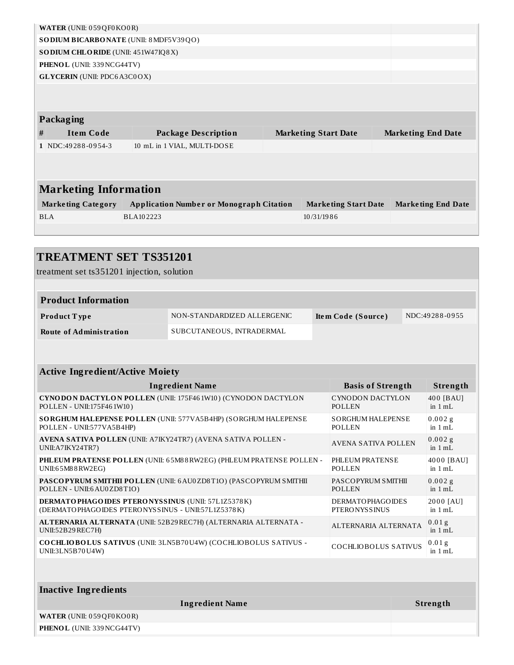|   | WATER (UNII: 059 QF0 KO0 R)             |                                                 |  |                             |  |                           |  |  |  |  |
|---|-----------------------------------------|-------------------------------------------------|--|-----------------------------|--|---------------------------|--|--|--|--|
|   | SO DIUM BICARBONATE (UNII: 8 MDF5V39QO) |                                                 |  |                             |  |                           |  |  |  |  |
|   | SODIUM CHLORIDE (UNII: 451W47IQ8X)      |                                                 |  |                             |  |                           |  |  |  |  |
|   | PHENOL (UNII: 339 NCG44TV)              |                                                 |  |                             |  |                           |  |  |  |  |
|   | <b>GLYCERIN</b> (UNII: PDC6A3C0OX)      |                                                 |  |                             |  |                           |  |  |  |  |
|   |                                         |                                                 |  |                             |  |                           |  |  |  |  |
|   |                                         |                                                 |  |                             |  |                           |  |  |  |  |
|   | Packaging                               |                                                 |  |                             |  |                           |  |  |  |  |
| # | <b>Item Code</b>                        | <b>Package Description</b>                      |  | <b>Marketing Start Date</b> |  | <b>Marketing End Date</b> |  |  |  |  |
|   | 1 NDC:49288-0954-3                      | 10 mL in 1 VIAL, MULTI-DOSE                     |  |                             |  |                           |  |  |  |  |
|   |                                         |                                                 |  |                             |  |                           |  |  |  |  |
|   |                                         |                                                 |  |                             |  |                           |  |  |  |  |
|   |                                         |                                                 |  |                             |  |                           |  |  |  |  |
|   | <b>Marketing Information</b>            |                                                 |  |                             |  |                           |  |  |  |  |
|   | <b>Marketing Category</b>               | <b>Application Number or Monograph Citation</b> |  | <b>Marketing Start Date</b> |  | <b>Marketing End Date</b> |  |  |  |  |
|   | <b>BLA</b>                              | BLA102223                                       |  | 10/31/1986                  |  |                           |  |  |  |  |
|   |                                         |                                                 |  |                             |  |                           |  |  |  |  |

#### **TREATMENT SET TS351201** treatment set ts351201 injection, solution **Product Information Product T ype** NON-STANDARDIZED ALLERGENIC **Ite m Code (Source )** NDC:49 28 8 -0 9 55 **Route of Administration** SUBCUTANEOUS, INTRADERMAL **Active Ingredient/Active Moiety Ingredient Name Basis of Strength Strength CYNODON DACTYLON POLLEN** (UNII: 175F46 1W10 ) (CYNODON DACTYLON POLLEN - UNII:175F46 1W10 ) CYNODON DACTYLON POLLEN 40 0 [BAU] in 1 mL **SORGHUM HALEPENSE POLLEN** (UNII: 577VA5B4HP) (SORGHUM HALEPENSE POLLEN - UNII:577VA5B4HP) SORGHUM HALEPENSE POLLEN  $0.002$  g in 1 mL **AVENA SATIVA POLLEN** (UNII: A7IKY24TR7) (AVENA SATIVA POLLEN - UNII:A7IKY24TR7) AVENA SATIVA POLLEN  $0.002 g$ in 1 mL **PHLEUM PRATENSE POLLEN** (UNII: 6 5M8 8RW2EG) (PHLEUM PRATENSE POLLEN - UNII:6 5M8 8RW2EG) PHLEUM PRATENSE POLLEN 40 0 0 [BAU] in 1 mL **PASCOPYRUM SMITHII POLLEN** (UNII: 6AU0ZD8T1O) (PASCOPYRUM SMITHII POLLEN - UNII:6AU0ZD8T1O) PASCOPYRUM SMITHII POLLEN  $0.002 g$ in 1 mL

**DERMATOPHAGOIDES PTERONYSSINUS** (UNII: 57L1Z5378K) (DERMATOPHAGOIDES PTERONYSSINUS - UNII:57L1Z5378K) DERMATOPHAGOIDES **PTERONYSSINUS** 2000 [AU] in 1 mL **ALTERNARIA ALTERNATA** (UNII: 52B29REC7H) (ALTERNARIA ALTERNATA - UNII:52B29REC7H) ALTERNARIA ALTERNATA 0 .0 1 g  $in 1 mL$ **COCHLIOBOLUS SATIVUS** (UNII: 3LN5B70U4W) (COCHLIOBOLUS SATIVUS - UNII:3LN5B70U4W) COCHLIOBOLUS SATIVUS 0 .0 1 g in 1 mL

| Inactive Ingredients               |          |  |  |  |
|------------------------------------|----------|--|--|--|
| <b>Ingredient Name</b>             | Strength |  |  |  |
| <b>WATER (UNII: 059 QF0 KO0 R)</b> |          |  |  |  |
| <b>PHENOL</b> (UNII: 339 NCG44TV)  |          |  |  |  |
|                                    |          |  |  |  |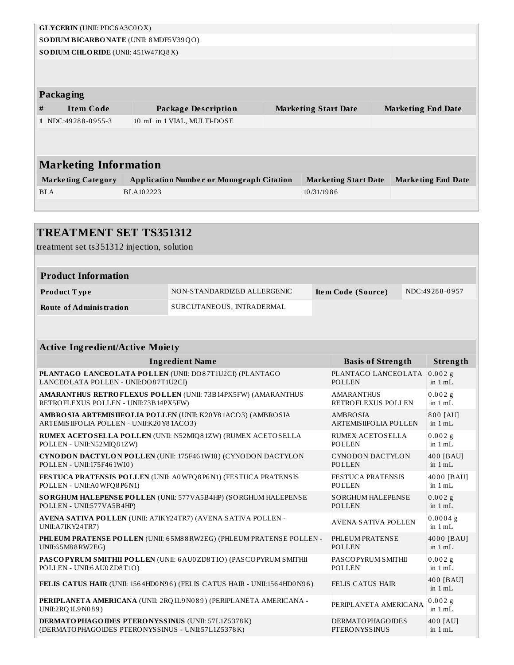|                              | <b>GLYCERIN</b> (UNII: PDC6A3C0OX)        |                                                 |  |                             |                           |
|------------------------------|-------------------------------------------|-------------------------------------------------|--|-----------------------------|---------------------------|
|                              |                                           | <b>SODIUM BICARBONATE (UNII: 8 MDF5V39QO)</b>   |  |                             |                           |
|                              | <b>SODIUM CHLORIDE</b> (UNII: 451W47IQ8X) |                                                 |  |                             |                           |
|                              |                                           |                                                 |  |                             |                           |
|                              |                                           |                                                 |  |                             |                           |
|                              | Packaging                                 |                                                 |  |                             |                           |
| #                            | <b>Item Code</b>                          | <b>Package Description</b>                      |  | <b>Marketing Start Date</b> | <b>Marketing End Date</b> |
|                              | 1 NDC:49288-0955-3                        | 10 mL in 1 VIAL, MULTI-DOSE                     |  |                             |                           |
|                              |                                           |                                                 |  |                             |                           |
|                              |                                           |                                                 |  |                             |                           |
| <b>Marketing Information</b> |                                           |                                                 |  |                             |                           |
|                              | <b>Marketing Category</b>                 | <b>Application Number or Monograph Citation</b> |  | <b>Marketing Start Date</b> | <b>Marketing End Date</b> |
| <b>BLA</b>                   |                                           | BLA102223                                       |  | 10/31/1986                  |                           |
|                              |                                           |                                                 |  |                             |                           |

| <b>TREATMENT SET TS351312</b><br>treatment set ts351312 injection, solution                                       |                                                                          |                                                  |                         |
|-------------------------------------------------------------------------------------------------------------------|--------------------------------------------------------------------------|--------------------------------------------------|-------------------------|
|                                                                                                                   |                                                                          |                                                  |                         |
| <b>Product Information</b>                                                                                        |                                                                          |                                                  |                         |
| Product Type                                                                                                      | NON-STANDARDIZED ALLERGENIC                                              | Item Code (Source)                               | NDC:49288-0957          |
| <b>Route of Administration</b>                                                                                    | SUBCUTANEOUS, INTRADERMAL                                                |                                                  |                         |
|                                                                                                                   |                                                                          |                                                  |                         |
| <b>Active Ingredient/Active Moiety</b>                                                                            |                                                                          |                                                  |                         |
|                                                                                                                   | <b>Ingredient Name</b>                                                   | <b>Basis of Strength</b>                         | Strength                |
| PLANTAGO LANCEOLATA POLLEN (UNII: DO87T1U2CI) (PLANTAGO<br>LANCEOLATA POLLEN - UNII:DO87T1U2CI)                   |                                                                          | PLANTAGO LANCEOLATA<br><b>POLLEN</b>             | $0.002$ g<br>in $1 mL$  |
| RETROFLEXUS POLLEN - UNII:73B14PX5FW)                                                                             | <b>AMARANTHUS RETROFLEXUS POLLEN (UNII: 73B14PX5FW) (AMARANTHUS</b>      | <b>AMARANTHUS</b><br>RETROFLEXUS POLLEN          | 0.002g<br>in $1 mL$     |
| AMBRO SIA ARTEMISIIFOLIA POLLEN (UNII: K20Y81ACO3) (AMBROSIA<br>ARTEMISIIFOLIA POLLEN - UNII:K20Y81ACO3)          |                                                                          | <b>AMBROSIA</b><br><b>ARTEMIS IIFOLIA POLLEN</b> | 800 [AU]<br>in 1 mL     |
| POLLEN - UNII:N52MIQ81ZW)                                                                                         | RUMEX ACETOSELLA POLLEN (UNII: N52MIQ81ZW) (RUMEX ACETOSELLA             | RUMEX ACETOSELLA<br><b>POLLEN</b>                | $0.002$ g<br>in 1 mL    |
| POLLEN - UNII:175F461W10)                                                                                         | <b>CYNODON DACTYLON POLLEN (UNII: 175F461W10) (CYNODON DACTYLON</b>      | <b>CYNODON DACTYLON</b><br><b>POLLEN</b>         | 400 [BAU]<br>in $1 mL$  |
| POLLEN - UNII: A0WFQ8P6N1)                                                                                        | FESTUCA PRATENSIS POLLEN (UNII: A0WFQ8P6N1) (FESTUCA PRATENSIS           | <b>FESTUCA PRATENSIS</b><br><b>POLLEN</b>        | 4000 [BAU]<br>in 1 mL   |
| POLLEN - UNII:577VA5B4HP)                                                                                         | SORGHUM HALEPENSE POLLEN (UNII: 577VA5B4HP) (SORGHUM HALEPENSE           | <b>SORGHUM HALEPENSE</b><br><b>POLLEN</b>        | $0.002$ g<br>in $1 mL$  |
| AVENA SATIVA POLLEN (UNII: A7IKY24TR7) (AVENA SATIVA POLLEN -<br>UNII:A7IKY24TR7)                                 |                                                                          | <b>AVENA SATIVA POLLEN</b>                       | $0.0004$ g<br>in $1 mL$ |
| UNII:65M88RW2EG)                                                                                                  | PHLEUM PRATENSE POLLEN (UNII: 65M88 RW2EG) (PHLEUM PRATENSE POLLEN -     | PHLEUM PRATENSE<br><b>POLLEN</b>                 | 4000 [BAU]<br>in $1 mL$ |
| POLLEN - UNII:6 AU0 ZD8T1O)                                                                                       | PASCOPYRUM SMITHII POLLEN (UNII: 6 AU0 ZD8 T10) (PASCOPYRUM SMITHII      | PASCOPYRUM SMITHII<br><b>POLLEN</b>              | $0.002$ g<br>in $1 mL$  |
|                                                                                                                   | FELIS CATUS HAIR (UNII: 1564HD0N96) (FELIS CATUS HAIR - UNII:1564HD0N96) | <b>FELIS CATUS HAIR</b>                          | 400 [BAU]<br>in 1 mL    |
| UNII:2RQ1L9N089)                                                                                                  | PERIPLANETA AMERICANA (UNII: 2RQ 1L9 N089) (PERIPLANETA AMERICANA -      | PERIPLANETA AMERICANA                            | $0.002$ g<br>in $1 mL$  |
| <b>DERMATO PHAGO IDES PTERO NYSSINUS (UNII: 57L1Z5378K)</b><br>(DERMATOPHAGOIDES PTERONYSSINUS - UNII:57L1Z5378K) |                                                                          | <b>DERMATOPHAGOIDES</b><br><b>PTERONYSSINUS</b>  | 400 [AU]<br>in $1 mL$   |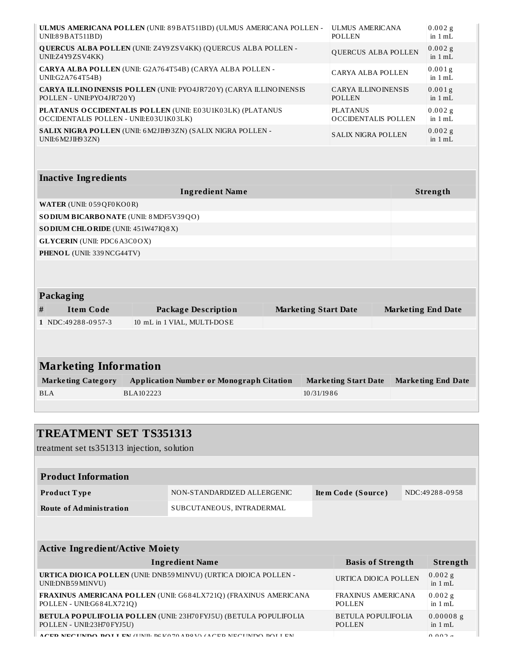| UNII:89 BAT511BD)                                                                                        | ULMUS AMERICANA POLLEN (UNII: 89BAT511BD) (ULMUS AMERICANA POLLEN - |  | <b>ULMUS AMERICANA</b><br><b>POLLEN</b>      |  |                           | $0.002$ g<br>in $1 mL$          |
|----------------------------------------------------------------------------------------------------------|---------------------------------------------------------------------|--|----------------------------------------------|--|---------------------------|---------------------------------|
| QUERCUS ALBA POLLEN (UNII: Z4Y9ZSV4KK) (QUERCUS ALBA POLLEN -<br>QUERCUS ALBA POLLEN<br>UNII:Z4Y9ZSV4KK) |                                                                     |  | $0.002$ g<br>in $1 mL$                       |  |                           |                                 |
| UNII:G2A764T54B)                                                                                         | CARYA ALBA POLLEN (UNII: G2A764T54B) (CARYA ALBA POLLEN -           |  | <b>CARYA ALBA POLLEN</b>                     |  |                           | 0.001 <sub>g</sub><br>in $1 mL$ |
| POLLEN - UNII:PYO4JR720Y)                                                                                | CARYA ILLINO INENSIS POLLEN (UNII: PYO4JR720Y) (CARYA ILLINOINENSIS |  | <b>CARYA ILLINO INENSIS</b><br><b>POLLEN</b> |  |                           | $0.001$ g<br>in $1 mL$          |
| OCCIDENTALIS POLLEN - UNII:E03U1K03LK)                                                                   | PLATANUS OCCIDENTALIS POLLEN (UNII: E03U1K03LK) (PLATANUS           |  | <b>PLATANUS</b><br>OCCIDENTALIS POLLEN       |  |                           | $0.002$ g<br>in $1 mL$          |
| UNII:6 M2JIH93ZN)                                                                                        | SALIX NIGRA POLLEN (UNII: 6 M2JIH93ZN) (SALIX NIGRA POLLEN -        |  | <b>SALIX NIGRA POLLEN</b>                    |  |                           | $0.002$ g<br>in $1 mL$          |
|                                                                                                          |                                                                     |  |                                              |  |                           |                                 |
| <b>Inactive Ingredients</b>                                                                              |                                                                     |  |                                              |  |                           |                                 |
|                                                                                                          | <b>Ingredient Name</b>                                              |  |                                              |  | Strength                  |                                 |
| WATER (UNII: 059 QF0 KO0 R)                                                                              |                                                                     |  |                                              |  |                           |                                 |
| SODIUM BICARBONATE (UNII: 8 MDF5V39QO)                                                                   |                                                                     |  |                                              |  |                           |                                 |
| SODIUM CHLORIDE (UNII: 451W47IQ8X)                                                                       |                                                                     |  |                                              |  |                           |                                 |
| <b>GLYCERIN</b> (UNII: PDC6A3C0OX)                                                                       |                                                                     |  |                                              |  |                           |                                 |
| PHENOL (UNII: 339 NCG44TV)                                                                               |                                                                     |  |                                              |  |                           |                                 |
|                                                                                                          |                                                                     |  |                                              |  |                           |                                 |
|                                                                                                          |                                                                     |  |                                              |  |                           |                                 |
| Packaging                                                                                                |                                                                     |  |                                              |  |                           |                                 |
| <b>Item Code</b><br>#                                                                                    | <b>Package Description</b>                                          |  | <b>Marketing Start Date</b>                  |  | <b>Marketing End Date</b> |                                 |
| 1 NDC:49288-0957-3                                                                                       | 10 mL in 1 VIAL, MULTI-DOSE                                         |  |                                              |  |                           |                                 |
|                                                                                                          |                                                                     |  |                                              |  |                           |                                 |
|                                                                                                          |                                                                     |  |                                              |  |                           |                                 |
| <b>Marketing Information</b>                                                                             |                                                                     |  |                                              |  |                           |                                 |
| <b>Marketing Category</b>                                                                                | <b>Application Number or Monograph Citation</b>                     |  | <b>Marketing Start Date</b>                  |  | <b>Marketing End Date</b> |                                 |
| <b>BLA</b>                                                                                               | BLA102223                                                           |  | 10/31/1986                                   |  |                           |                                 |
|                                                                                                          |                                                                     |  |                                              |  |                           |                                 |

## **TREATMENT SET TS351313**

treatment set ts351313 injection, solution

| <b>Product Information</b> |                             |                    |                |
|----------------------------|-----------------------------|--------------------|----------------|
| <b>Product Type</b>        | NON-STANDARDIZED ALLERGENIC | Item Code (Source) | NDC:49288-0958 |
| Route of Administration    | SUBCUTANEOUS, INTRADERMAL   |                    |                |

| <b>Active Ingredient/Active Moiety</b>                                                                 |                                            |                          |  |  |
|--------------------------------------------------------------------------------------------------------|--------------------------------------------|--------------------------|--|--|
| <b>Ingredient Name</b>                                                                                 | <b>Basis of Strength</b>                   | Strength                 |  |  |
| <b>URTICA DIO ICA POLLEN (UNII: DNB59 M1NVU) (URTICA DIO ICA POLLEN -</b><br>UNII:DNB59M1NVU)          | URTICA DIOICA POLLEN                       | $0.002$ g<br>in $1 mL$   |  |  |
| FRAXINUS AMERICANA POLLEN (UNII: G684LX721Q) (FRAXINUS AMERICANA<br>POLLEN - UNII:G684LX721Q)          | <b>FRAXINUS AMERICANA</b><br><b>POLLEN</b> | $0.002$ g<br>in $1 mL$   |  |  |
| <b>BETULA POPULIFOLIA POLLEN (UNII: 23H70 FYJ5U) (BETULA POPULIFOLIA</b><br>POLLEN - UNII:23H70 FYJ5U) | BETULA POPULIFOLIA<br><b>POLLEN</b>        | $0.00008$ g<br>in $1 mL$ |  |  |
| A CED NECHNDO, DOLLEN (HNIL DCI/O70 ADOV) (A CED NECHNDO DOLLEN                                        |                                            | $0.002 -$                |  |  |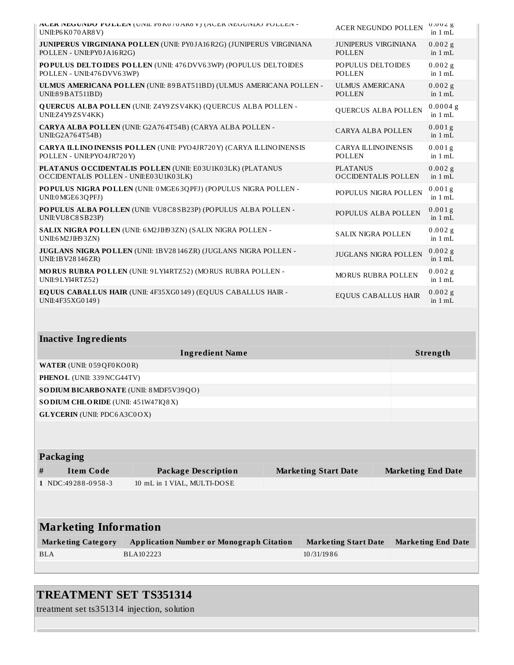| ALER INEGUINDU PULLEIN (UINII: PONU/UAROV) (AUER INEGUINDU PULLEIN -<br>UNII:P6 K070 AR8 V)              | <b>ACER NEGUNDO POLLEN</b>                    | $0.002$ g<br>in $1 mL$  |
|----------------------------------------------------------------------------------------------------------|-----------------------------------------------|-------------------------|
| <b>JUNIPERUS VIRGINIANA POLLEN (UNII: PY0JA16R2G) (JUNIPERUS VIRGINIANA</b><br>POLLEN - UNII:PY0JA16R2G) | <b>JUNIPERUS VIRGINIANA</b><br><b>POLLEN</b>  | 0.002g<br>in 1 mL       |
| POPULUS DELTOIDES POLLEN (UNII: 476 DVV63WP) (POPULUS DELTOIDES<br>POLLEN - UNII:476 DVV63WP)            | POPULUS DELTOIDES<br><b>POLLEN</b>            | $0.002$ g<br>in $1 mL$  |
| ULMUS AMERICANA POLLEN (UNII: 89BAT511BD) (ULMUS AMERICANA POLLEN -<br>UNII:89 BAT511BD)                 | ULMUS AMERICANA<br><b>POLLEN</b>              | $0.002$ g<br>in $1 mL$  |
| <b>QUERCUS ALBA POLLEN (UNII: Z4Y9ZSV4KK) (QUERCUS ALBA POLLEN -</b><br>UNII:Z4Y9ZSV4KK)                 | <b>QUERCUS ALBA POLLEN</b>                    | $0.0004$ g<br>in $1 mL$ |
| CARYA ALBA POLLEN (UNII: G2A764T54B) (CARYA ALBA POLLEN -<br>UNII:G2A764T54B)                            | <b>CARYA ALBA POLLEN</b>                      | $0.001$ g<br>in $1$ mL  |
| <b>CARYA ILLINO INENSIS POLLEN (UNII: PYO4JR720Y) (CARYA ILLINOINENSIS</b><br>POLLEN - UNII: PYO4JR720Y) | <b>CARYA ILLINO INENSIS</b><br><b>POLLEN</b>  | 0.001g<br>in $1 mL$     |
| PLATANUS OCCIDENTALIS POLLEN (UNII: E03U1K03LK) (PLATANUS<br>OCCIDENTALIS POLLEN - UNII:E03U1K03LK)      | <b>PLATANUS</b><br><b>OCCIDENTALIS POLLEN</b> | 0.002g<br>in 1 mL       |
| POPULUS NIGRA POLLEN (UNII: 0 MGE63QPFJ) (POPULUS NIGRA POLLEN -<br>UNII:0 MGE63QPFJ)                    | POPULUS NIGRA POLLEN                          | 0.001g<br>in $1 mL$     |
| POPULUS ALBA POLLEN (UNII: VU8C8SB23P) (POPULUS ALBA POLLEN -<br>UNII: VU8 C8 SB23P)                     | POPULUS ALBA POLLEN                           | 0.001g<br>in $1 mL$     |
| SALIX NIGRA POLLEN (UNII: 6 M2JIH93ZN) (SALIX NIGRA POLLEN -<br>UNII:6 M2JIH9 3ZN)                       | <b>SALIX NIGRA POLLEN</b>                     | $0.002$ g<br>in $1 mL$  |
| JUGLANS NIGRA POLLEN (UNII: 1BV28146ZR) (JUGLANS NIGRA POLLEN -<br>UNII:1BV28146ZR)                      | <b>JUGLANS NIGRA POLLEN</b>                   | $0.002$ g<br>in $1 mL$  |
| <b>MORUS RUBRA POLLEN (UNII: 9LYI4RTZ52) (MORUS RUBRA POLLEN -</b><br>UNII:9 LYI4RTZ52)                  | <b>MORUS RUBRA POLLEN</b>                     | 0.002g<br>in 1 mL       |
| EQUUS CABALLUS HAIR (UNII: 4F35XG0149) (EQUUS CABALLUS HAIR -<br>UNII:4F35XG0149)                        | <b>EQUUS CABALLUS HAIR</b>                    | 0.002g<br>in $1 mL$     |
|                                                                                                          |                                               |                         |

| <b>Ingredient Name</b>                        | Strength |
|-----------------------------------------------|----------|
| <b>WATER (UNII: 059 QF0 KO0 R)</b>            |          |
| <b>PHENOL</b> (UNII: 339 NCG44TV)             |          |
| <b>SODIUM BICARBONATE</b> (UNII: 8 MDF5V39QO) |          |
| <b>SODIUM CHLORIDE</b> (UNII: 451W47IQ8X)     |          |
| <b>GLYCERIN</b> (UNII: PDC6A3C0OX)            |          |
|                                               |          |

| <b>Marketing End Date</b>    |  |  |  |
|------------------------------|--|--|--|
|                              |  |  |  |
|                              |  |  |  |
|                              |  |  |  |
| <b>Marketing Information</b> |  |  |  |
| <b>Marketing End Date</b>    |  |  |  |
|                              |  |  |  |
|                              |  |  |  |

## **TREATMENT SET TS351314**

treatment set ts351314 injection, solution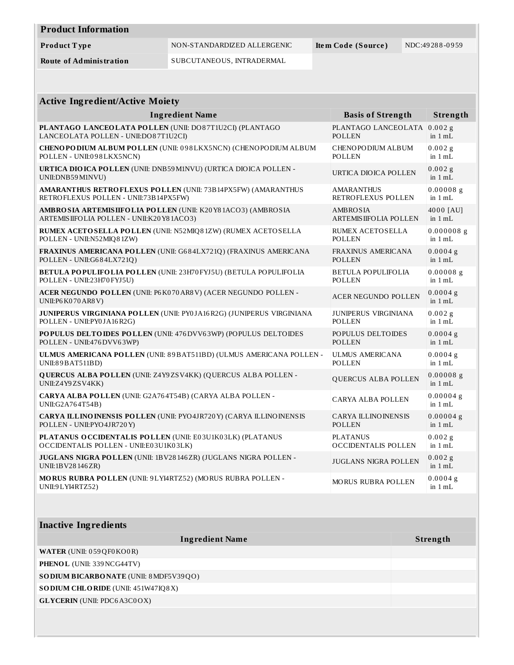| <b>Product Information</b>     |                             |                    |                |
|--------------------------------|-----------------------------|--------------------|----------------|
| Product Type                   | NON-STANDARDIZED ALLERGENIC | Item Code (Source) | NDC:49288-0959 |
| <b>Route of Administration</b> | SUBCUTANEOUS, INTRADERMAL   |                    |                |

| <b>Active Ingredient/Active Moiety</b>                                                        |                               |                        |  |  |
|-----------------------------------------------------------------------------------------------|-------------------------------|------------------------|--|--|
| <b>Ingredient Name</b>                                                                        | <b>Basis of Strength</b>      | Strength               |  |  |
| PLANTAGO LANCEOLATA POLLEN (UNII: DO87T1U2CI) (PLANTAGO                                       | PLANTAGO LANCEOLATA           | $0.002$ g              |  |  |
| LANCEOLATA POLLEN - UNII:DO87T1U2CI)                                                          | <b>POLLEN</b>                 | in 1 mL                |  |  |
| CHENOPODIUM ALBUM POLLEN (UNII: 098LKX5NCN) (CHENOPODIUM ALBUM                                | CHENOPODIUM ALBUM             | $0.002$ g              |  |  |
| POLLEN - UNII:098LKX5NCN)                                                                     | <b>POLLEN</b>                 | in $1 mL$              |  |  |
| <b>URTICA DIO ICA POLLEN (UNII: DNB59 M1NVU) (URTICA DIO ICA POLLEN -</b><br>UNII:DNB59M1NVU) | URTICA DIOICA POLLEN          | $0.002$ g<br>in $1 mL$ |  |  |
| <b>AMARANTHUS RETROFLEXUS POLLEN (UNII: 73B14PX5FW) (AMARANTHUS</b>                           | <b>AMARANTHUS</b>             | $0.00008$ g            |  |  |
| RETROFLEXUS POLLEN - UNII:73B14PX5FW)                                                         | RETROFLEXUS POLLEN            | in $1 mL$              |  |  |
| AMBRO SIA ARTEMISIIFOLIA POLLEN (UNII: K20 Y81ACO3) (AMBROSIA                                 | <b>AMBROSIA</b>               | 4000 [AU]              |  |  |
| ARTEMISIIFOLIA POLLEN - UNII:K20Y81ACO3)                                                      | <b>ARTEMIS IIFOLIA POLLEN</b> | in $1 mL$              |  |  |
| RUMEX ACETOSELLA POLLEN (UNII: N52MIQ81ZW) (RUMEX ACETOSELLA                                  | RUMEX ACETOSELLA              | $0.000008$ g           |  |  |
| POLLEN - UNII:N52MIQ81ZW)                                                                     | <b>POLLEN</b>                 | in $1 mL$              |  |  |
| FRAXINUS AMERICANA POLLEN (UNII: G684LX721Q) (FRAXINUS AMERICANA                              | <b>FRAXINUS AMERICANA</b>     | 0.0004g                |  |  |
| POLLEN - UNII:G684LX721Q)                                                                     | POLLEN                        | in $1 mL$              |  |  |
| BETULA POPULIFOLIA POLLEN (UNII: 23H70 FYJ5U) (BETULA POPULIFOLIA                             | <b>BETULA POPULIFOLIA</b>     | $0.00008$ g            |  |  |
| POLLEN - UNII:23H70 FYJ5U)                                                                    | <b>POLLEN</b>                 | in $1 mL$              |  |  |
| ACER NEGUNDO POLLEN (UNII: P6K070AR8V) (ACER NEGUNDO POLLEN -<br>UNII:P6 K070 AR8 V)          | <b>ACER NEGUNDO POLLEN</b>    | $0.0004$ g<br>in 1 mL  |  |  |
| JUNIPERUS VIRGINIANA POLLEN (UNII: PY0JA16R2G) (JUNIPERUS VIRGINIANA                          | <b>JUNIPERUS VIRGINIANA</b>   | 0.002g                 |  |  |
| POLLEN - UNII:PY0JA16R2G)                                                                     | <b>POLLEN</b>                 | in 1 mL                |  |  |
| POPULUS DELTOIDES POLLEN (UNII: 476 DVV63WP) (POPULUS DELTOIDES                               | POPULUS DELTOIDES             | $0.0004$ g             |  |  |
| POLLEN - UNII:476 DVV63WP)                                                                    | <b>POLLEN</b>                 | in 1 mL                |  |  |
| ULMUS AMERICANA POLLEN (UNII: 89BAT511BD) (ULMUS AMERICANA POLLEN -                           | <b>ULMUS AMERICANA</b>        | $0.0004$ g             |  |  |
| UNII:89 BAT511BD)                                                                             | <b>POLLEN</b>                 | in $1 mL$              |  |  |
| <b>QUERCUS ALBA POLLEN (UNII: Z4Y9ZSV4KK) (QUERCUS ALBA POLLEN -</b><br>UNII:Z4Y9ZSV4KK)      | QUERCUS ALBA POLLEN           | $0.00008$ g<br>in 1 mL |  |  |
| CARYA ALBA POLLEN (UNII: G2A764T54B) (CARYA ALBA POLLEN -<br>UNII:G2A764T54B)                 | CARYA ALBA POLLEN             | $0.00004$ g<br>in 1 mL |  |  |
| CARYA ILLINO INENSIS POLLEN (UNII: PYO4JR720Y) (CARYA ILLINO INENSIS                          | <b>CARYA ILLINOINENSIS</b>    | $0.00004$ g            |  |  |
| POLLEN - UNII:PYO4JR720Y)                                                                     | <b>POLLEN</b>                 | in $1 mL$              |  |  |
| PLATANUS O CCIDENTALIS POLLEN (UNII: E03U1K03LK) (PLATANUS                                    | <b>PLATANUS</b>               | 0.002 g                |  |  |
| OCCIDENTALIS POLLEN - UNII:E03U1K03LK)                                                        | <b>OCCIDENTALIS POLLEN</b>    | in 1 mL                |  |  |
| JUGLANS NIGRA POLLEN (UNII: 1BV28146ZR) (JUGLANS NIGRA POLLEN -<br>UNII:1BV28146ZR)           | <b>JUGLANS NIGRA POLLEN</b>   | $0.002$ g<br>in $1 mL$ |  |  |
| MORUS RUBRA POLLEN (UNII: 9LYI4RTZ52) (MORUS RUBRA POLLEN -<br>UNII:9 LYI4RTZ52)              | <b>MORUS RUBRA POLLEN</b>     | $0.0004$ g<br>in 1 mL  |  |  |

| <b>Inactive Ingredients</b>               |          |
|-------------------------------------------|----------|
| <b>Ingredient Name</b>                    | Strength |
| <b>WATER</b> (UNII: 059QF0KO0R)           |          |
| <b>PHENOL</b> (UNII: 339 NCG44TV)         |          |
| SO DIUM BICARBONATE (UNII: 8 MDF5V39QO)   |          |
| <b>SODIUM CHLORIDE</b> (UNII: 451W47IQ8X) |          |
| <b>GLYCERIN</b> (UNII: PDC6A3C0OX)        |          |
|                                           |          |
|                                           |          |
|                                           |          |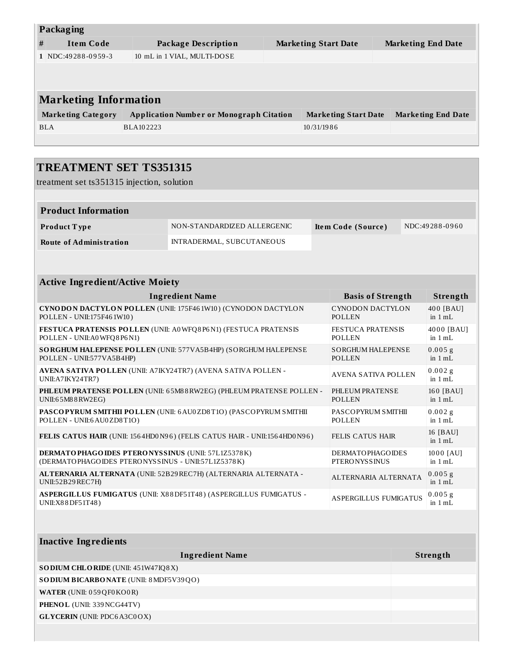| <b>Packaging</b>             |                           |                                                 |  |                             |                           |
|------------------------------|---------------------------|-------------------------------------------------|--|-----------------------------|---------------------------|
| #                            | <b>Item Code</b>          | <b>Package Description</b>                      |  | <b>Marketing Start Date</b> | <b>Marketing End Date</b> |
|                              | 1 NDC:49288-0959-3        | 10 mL in 1 VIAL, MULTI-DOSE                     |  |                             |                           |
|                              |                           |                                                 |  |                             |                           |
|                              |                           |                                                 |  |                             |                           |
| <b>Marketing Information</b> |                           |                                                 |  |                             |                           |
|                              | <b>Marketing Category</b> | <b>Application Number or Monograph Citation</b> |  | <b>Marketing Start Date</b> | <b>Marketing End Date</b> |
|                              | <b>BLA</b>                | BLA102223                                       |  | 10/31/1986                  |                           |
|                              |                           |                                                 |  |                             |                           |

#### **TREATMENT SET TS351315** treatment set ts351315 injection, solution **Product Information Product T ype** NON-STANDARDIZED ALLERGENIC **Ite m Code (Source )** NDC:49 28 8 -0 9 6 0 **Route of Administration** INTRADERMAL, SUBCUTANEOUS **Active Ingredient/Active Moiety Ingredient Name Basis of Strength Strength CYNODON DACTYLON POLLEN** (UNII: 175F46 1W10 ) (CYNODON DACTYLON POLLEN - UNII:175F46 1W10 ) CYNODON DACTYLON POLLEN 40 0 [BAU] in 1 mL **FESTUCA PRATENSIS POLLEN** (UNII: A0WFQ8 P6N1) (FESTUCA PRATENSIS POLLEN - UNII:A0WFQ8 P6N1) FESTUCA PRATENSIS POLLEN 40 0 0 [BAU] in 1 mL **SORGHUM HALEPENSE POLLEN** (UNII: 577VA5B4HP) (SORGHUM HALEPENSE POLLEN - UNII:577VA5B4HP) SORGHUM HALEPENSE POLLEN  $0.005 g$ in 1 mL **AVENA SATIVA POLLEN** (UNII: A7IKY24TR7) (AVENA SATIVA POLLEN - UNII:A7IKY24TR7) AVENA SATIVA POLLEN  $0.002g$ in 1 mL **PHLEUM PRATENSE POLLEN** (UNII: 6 5M8 8RW2EG) (PHLEUM PRATENSE POLLEN - UNII:6 5M8 8RW2EG) PHLEUM PRATENSE POLLEN 160 [BAU] in 1 mL **PASCOPYRUM SMITHII POLLEN** (UNII: 6AU0ZD8T1O) (PASCOPYRUM SMITHII POLLEN - UNII:6AU0ZD8T1O) PASCOPYRUM SMITHII POLLEN  $0.002$  g in 1 mL **FELIS CATUS HAIR** (UNII: 156 4HD0N9 6 ) (FELIS CATUS HAIR - UNII:156 4HD0N9 6 ) FELIS CATUS HAIR 16 [BAU] in 1 mL **DERMATOPHAGOIDES PTERONYSSINUS** (UNII: 57L1Z5378K) (DERMATOPHAGOIDES PTERONYSSINUS - UNII:57L1Z5378K) DERMATOPHAGOIDES **PTERONYSSINUS** 1000 [AU] in 1 mL **ALTERNARIA ALTERNATA** (UNII: 52B29REC7H) (ALTERNARIA ALTERNATA - UNII:52B29REC7H) ALTERNARIA ALTERNATA  $0.005 g$ in 1 mL  $0.005 g$

**ASPERGILLUS FUMIGATUS** (UNII: X8 8DF51T48 ) (ASPERGILLUS FUMIGATUS - UNII:X8 8DF51T48 ) ASPERGILLUS FUMIGATUS

| <b>Inactive Ingredients</b>                   |          |  |  |  |
|-----------------------------------------------|----------|--|--|--|
| <b>Ingredient Name</b>                        | Strength |  |  |  |
| <b>SODIUM CHLORIDE</b> (UNII: 451W47IQ8X)     |          |  |  |  |
| <b>SODIUM BICARBONATE</b> (UNII: 8 MDF5V39QO) |          |  |  |  |
| <b>WATER (UNII: 059 QF0 KO0 R)</b>            |          |  |  |  |
| <b>PHENOL</b> (UNII: 339 NCG44TV)             |          |  |  |  |
| <b>GLYCERIN</b> (UNII: PDC6A3C0OX)            |          |  |  |  |
|                                               |          |  |  |  |

in 1 mL